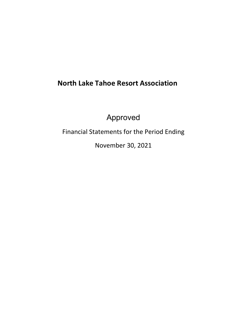# **North Lake Tahoe Resort Association**

Approved

Financial Statements for the Period Ending

November 30, 2021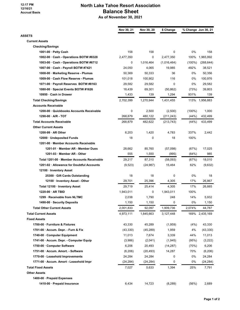#### **12:17 PM 12/16/21 Accrual Basis**

## **North Lake Tahoe Resort Association Balance Sheet As of November 30, 2021**

|                                            | Nov 30, 21 | Nov 30, 20 | \$ Change   |           | % Change Jun 30, 21 |
|--------------------------------------------|------------|------------|-------------|-----------|---------------------|
| ASSETS                                     |            |            |             |           |                     |
| <b>Current Assets</b>                      |            |            |             |           |                     |
| <b>Checking/Savings</b>                    |            |            |             |           |                     |
| 1001-00 · Petty Cash                       | 158        | 158        | 0           | 0%        | 158                 |
| 1002-00 · Cash - Operations BOTW #8328     | 2,477,350  | $\Omega$   | 2,477,350   | 100%      | 1,965,992           |
| 1003-00 · Cash - Operations BOTW #6712     | 0          | 1,016,464  | (1,016,464) | $(100\%)$ | (268, 644)          |
| 1007-00 · Cash - Payroll BOTW #7421        | 24,050     | 4,065      | 19,985      | 492%      | 38,521              |
| 1008-00 · Marketing Reserve - Plumas       | 50,369     | 50,333     | 36          | 0%        | 50,356              |
| 1009-00 · Cash Flow Reserve - Plumas       | 101,018    | 100,902    | 116         | 0%        | 100,976             |
| 1071-00 · Payroll Reserves BOTW #8163      | 29,582     | 29,582     | 0           | 0%        | 29,582              |
| 1080-00 · Special Events BOTW #1626        | 18,439     | 69,301     | (50, 862)   | (73%)     | 39,803              |
| 10950 · Cash in Drawer                     | 1,433      | 139        | 1,294       | 931%      | 139                 |
| <b>Total Checking/Savings</b>              | 2,702,399  | 1,270,944  | 1,431,455   | 113%      | 1,956,883           |
| <b>Accounts Receivable</b>                 |            |            |             |           |                     |
| 1200-00 · Quickbooks Accounts Receivable   | 0          | 2,500      | (2,500)     | $(100\%)$ | 1,000               |
| 1290-00 · A/R - TOT                        | 268,879    | 480,122    | (211, 243)  | (44%)     | 432,499             |
| <b>Total Accounts Receivable</b>           | 268,879    | 482,622    | (213, 743)  | (44%)     | 433,499             |
| <b>Other Current Assets</b>                |            |            |             |           |                     |
| $1200-99 \cdot AR$ Other                   | 6,203      | 1,420      | 4,783       | 337%      | 2,442               |
| 12000 · Undeposited Funds                  | 18         | 0          | 18          | 100%      |                     |
| 1201-00 · Member Accounts Receivable       |            |            |             |           |                     |
| 1201-01 · Member AR - Member Dues          | 28,662     | 85,760     | (57,098)    | (67%)     | 17,025              |
| 1201-03 · Member AR - Other                | 555        | 1,550      | (995)       | (64%)     | 985                 |
| Total 1201-00 · Member Accounts Receivable | 29,217     | 87,310     | (58,093)    | (67%)     | 18,010              |
| 1201-02 · Allowance for Doubtful Accounts  | (9,523)    | (24, 987)  | 15,464      | 62%       | (9,632)             |
| 12100 · Inventory Asset                    |            |            |             |           |                     |
| 25300 Gift Cards Outstanding               | 18         | 18         | 0           | 0%        | 18                  |
| 12100 · Inventory Asset - Other            | 29,701     | 25,396     | 4,305       | 17%       | 26,867              |
| Total 12100 · Inventory Asset              | 29,719     | 25,414     | 4,305       | 17%       | 26,885              |
| 1220-00 · AR TBID                          | 1,943,011  | 0          | 1,943,011   | 100%      |                     |
| 1299 · Receivable from NLTMC               | 2,038      | 1,790      | 248         | 14%       | 5,932               |
| 1490-00 · Security Deposits                | 1,150      | 1,150      | 0           | 0%        | 1,150               |
| <b>Total Other Current Assets</b>          | 2,001,833  | 92,097     | 1,909,736   | 2,074%    | 44,787              |
| <b>Total Current Assets</b>                | 4,973,111  | 1,845,663  | 3,127,448   |           | 169% 2,435,169      |
| <b>Fixed Assets</b>                        |            |            |             |           |                     |
| 1700-00 · Furniture & Fixtures             | 43,330     | 45,289     | (1,959)     | (4%)      | 43,330              |
| 1701-00 · Accum. Depr. - Furn & Fix        | (43, 330)  | (45, 289)  | 1,959       | 4%        | (43, 330)           |
| 1740-00 · Computer Equipment               | 11,013     | 7,674      | 3,339       | 44%       | 11,013              |
| 1741-00 · Accum. Depr. - Computer Equip    | (3,986)    | (2,041)    | (1,945)     | (95%)     | (3,222)             |
| 1750-00 · Computer Software                | 6,206      | 20,493     | (14, 287)   | (70%)     | 6,206               |
| 1751-00 · Accum. Amort. - Software         | (6, 206)   | (20, 493)  | 14,287      | 70%       | (6, 206)            |
| 1770-00 · Leasehold Improvements           | 24,284     | 24,284     | 0           | 0%        | 24,284              |
| 1771-00 · Accum. Amort - Leasehold Impr    | (24, 284)  | (24,284)   | 0           | 0%        | (24, 284)           |
| <b>Total Fixed Assets</b>                  | 7,027      | 5,633      | 1,394       | 25%       | 7,791               |
| <b>Other Assets</b>                        |            |            |             |           |                     |
| 1400-00 · Prepaid Expenses                 |            |            |             |           |                     |
| 1410-00 · Prepaid Insurance                | 6,434      | 14,723     | (8, 289)    | (56%)     | 2,689               |
|                                            |            |            |             |           |                     |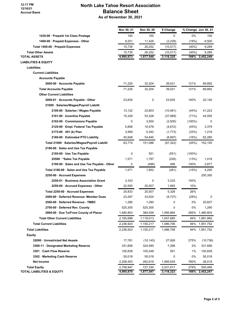#### **12:17 PM 12/16/21 Accrual Basis**

## **North Lake Tahoe Resort Association Balance Sheet As of November 30, 2021**

|                                               | Nov 30, 21 | Nov 30, 20 | \$ Change |           | % Change Jun 30, 21 |
|-----------------------------------------------|------------|------------|-----------|-----------|---------------------|
| 1430-00 · Prepaid 1st Class Postage           | 100        | 100        | 0         | 0%        | 100                 |
| 1400-00 · Prepaid Expenses - Other            | 9,201      | 11,429     | (2,228)   | (19%)     | 6,500               |
| Total 1400-00 · Prepaid Expenses              | 15,735     | 26,252     | (10, 517) | (40%)     | 9,289               |
| <b>Total Other Assets</b>                     | 15,735     | 26,252     | (10, 517) | (40%)     | 9,289               |
| <b>TOTAL ASSETS</b>                           | 4,995,873  | 1,877,548  | 3,118,325 | 166%      | 2,452,249           |
| <b>LIABILITIES &amp; EQUITY</b>               |            |            |           |           |                     |
| <b>Liabilities</b>                            |            |            |           |           |                     |
| <b>Current Liabilities</b>                    |            |            |           |           |                     |
| <b>Accounts Payable</b>                       |            |            |           |           |                     |
| 2000-00 · Accounts Payable                    | 71,225     | 32,204     | 39,021    | 121%      | 69,892              |
| <b>Total Accounts Payable</b>                 | 71,225     | 32,204     | 39,021    | 121%      | 69,892              |
| <b>Other Current Liabilities</b>              |            |            |           |           |                     |
| 2000-01 · Accounts Payable - Other            | 23,835     | 0          | 23,835    | 100%      | 22,140              |
| 21000 · Salaries/Wages/Payroll Liabilit       |            |            |           |           |                     |
| 2100-00 · Salaries / Wages Payable            | 13,122     | 23,603     | (10, 481) | (44%)     | 41,223              |
| 2101-00 · Incentive Payable                   | 15,329     | 53,328     | (37,999)  | (71%)     | 44,055              |
| 2102-00 Commissions Payable                   | 0          | 3,500      | (3,500)   | $(100\%)$ | 0                   |
| 2120-00 · Empl. Federal Tax Payable           | 5,806      | 10,478     | (4,672)   | (45%)     | 3,379               |
| 2175-00 · 401 (k) Plan                        | 3,569      | 5,342      | (1,773)   | (33%)     | 1,218               |
| 2180-00 · Estimated PTO Liability             | 45,948     | 54,845     | (8,897)   | (16%)     | 62,280              |
| Total 21000 · Salaries/Wages/Payroll Liabilit | 83,774     | 151,096    | (67, 322) | (45%)     | 152,155             |
| 2190-00 · Sales and Use Tax Payable           |            |            |           |           |                     |
| 2195-00 · Use Tax Payable                     | 0          | 551        | (551)     | $(100\%)$ |                     |
| 25500 · *Sales Tax Payable                    | 1,571      | 1,797      | (226)     | (13%)     | 1,418               |
| 2190-00 · Sales and Use Tax Payable - Other   | 0          | (496)      | 496       | 100%      | 2,877               |
| Total 2190-00 · Sales and Use Tax Payable     | 1,571      | 1,852      | (281)     | (15%)     | 4,295               |
| 2250-00 · Accrued Expenses                    |            |            |           |           | 200,350             |
| 2250-01 · Business Association Grant          | 3,333      | 0          | 3,333     | 100%      |                     |
| 2250-00 · Accrued Expenses - Other            | 22,500     | 20,507     | 1,993     | 10%       |                     |
| Total 2250-00 · Accrued Expenses              | 25,833     | 20,507     | 5,326     | 26%       |                     |
| 2400-60 · Deferred Revenue- Member Dues       | 23,287     | 33,024     | (9,737)   | (29%)     | 0                   |
| 2500-00 · Deferred Revenue - TMBC             | 1,290      | 1,290      | 0         | 0%        | 20,827              |
| 2700-00 · Deferred Rev. County                | 525,305    | 525,305    | 0         | 0%        | 1,290               |
| 2900-00 · Due To/From County of Placer        | 1,480,803  | 384,939    | 1,095,864 | 285%      | 1,480,803           |
| <b>Total Other Current Liabilities</b>        | 2,165,698  | 1,118,013  | 1,047,685 | 94%       | 1,881,860           |
| <b>Total Current Liabilities</b>              | 2,236,923  | 1,150,217  | 1,086,706 | 94%       | 1,951,752           |
| <b>Total Liabilities</b>                      | 2,236,923  | 1,150,217  | 1,086,706 | 94%       | 1,951,752           |
| <b>Equity</b>                                 |            |            |           |           |                     |
| 32000 · Unrestricted Net Assets               | 17,781     | (10, 145)  | 27,926    | 275%      | (10, 736)           |
| 3300-11 · Designated Marketing Reserve        | 331,856    | 324,590    | 7,266     | 2%        | 331,856             |
| 3301 · Cash Flow Reserve                      | 100,839    | 100,248    | 591       | 1%        | 100,839             |
| 3302 · Marketing Cash Reserve                 | 50,018     | 50,018     | 0         | 0%        | 50,018              |
| <b>Net Income</b>                             | 2,258,453  | 262,619    | 1,995,834 | 760%      | 28,518              |
| <b>Total Equity</b>                           | 2,758,947  | 727,330    | 2,031,617 | 279%      | 500,495             |
| <b>TOTAL LIABILITIES &amp; EQUITY</b>         | 4,995,870  | 1,877,547  | 3,118,323 | 166%      | 2,452,247           |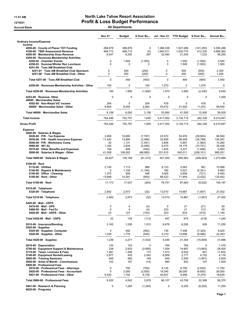### 11:51 AM **North Lake Tahoe Resort Association** 12/16/21 Profit & Loss Budget Performance

Accrual Basis **Accrual Basis** All Departments

|                                                                                                                                                                                                                                                                  | <b>Nov 21</b>                                   | <b>Budget</b>                                        | \$ Over Bu                                                       | Jul - Nov 21                                           | <b>YTD Budget</b>                                       | \$ Over Bu                                                              | Annual Bu                                                 |
|------------------------------------------------------------------------------------------------------------------------------------------------------------------------------------------------------------------------------------------------------------------|-------------------------------------------------|------------------------------------------------------|------------------------------------------------------------------|--------------------------------------------------------|---------------------------------------------------------|-------------------------------------------------------------------------|-----------------------------------------------------------|
| <b>Ordinary Income/Expense</b><br>Income                                                                                                                                                                                                                         |                                                 |                                                      |                                                                  |                                                        |                                                         |                                                                         |                                                           |
| 4050-00 County of Placer TOT Funding<br>4100-00 · TBID Assessment Revenue<br>4200-00 · Membership Dues Revenue                                                                                                                                                   | 268,879<br>469,712<br>6,547                     | 268,879<br>469,712<br>6,250                          | $\mathbf 0$<br>(0)<br>297                                        | 1,386,038<br>1,943,011<br>32,483                       | 1,527,288<br>1,530,775<br>31,250                        | (141, 250)<br>412,235<br>1,233                                          | 3.395,286<br>4,689,362<br>56,250                          |
| 4250-00 · Revenues-Membership Activities<br>4250-02 · Chamber Events<br>4250-03 · Summer/Winter Rec Luncheon                                                                                                                                                     | 0<br>0                                          | 1,500<br>0                                           | (1,500)<br>0                                                     | 0<br>0                                                 | 1,500<br>1,500                                          | (1,500)<br>(1,500)                                                      | 4,500<br>1,500                                            |
| 4251-00 · Tues AM Breakfast Club<br>4251-01 · Tues AM Breakfast Club Sponsors                                                                                                                                                                                    | 0                                               | 250                                                  | (250)                                                            | 0                                                      | 500                                                     | (500)                                                                   | 2,350                                                     |
| 4251-00 · Tues AM Breakfast Club - Other                                                                                                                                                                                                                         | 0                                               | 200                                                  | (200)                                                            | 0                                                      | 400                                                     | (400)                                                                   | 1,200                                                     |
| Total 4251-00 · Tues AM Breakfast Club                                                                                                                                                                                                                           | 0                                               | 450                                                  | (450)                                                            | $\Omega$                                               | 900                                                     | (900)                                                                   | 3,550                                                     |
| 4250-00 · Revenues-Membership Activities - Other                                                                                                                                                                                                                 | 150                                             | 0                                                    | 150                                                              | 1,570                                                  | 0                                                       | 1,570                                                                   | 0                                                         |
| Total 4250-00 · Revenues-Membership Activities                                                                                                                                                                                                                   | 150                                             | 1,950                                                | (1,800)                                                          | 1,570                                                  | 3,900                                                   | (2,330)                                                                 | 9,550                                                     |
| 4253-00 · Revenue- Other<br>46000 · Merchandise Sales<br>4502-00 · Non-Retail VIC income                                                                                                                                                                         | 0<br>204                                        | 0<br>0                                               | 0<br>204                                                         | 0<br>478                                               | $\mathbf 0$<br>0                                        | 0<br>478                                                                | 1,000<br>0                                                |
| 46000 · Merchandise Sales - Other                                                                                                                                                                                                                                | 8,954                                           | 6,000                                                | 2,954                                                            | 53,472                                                 | 41,500                                                  | 11,972                                                                  | 59,500                                                    |
| Total 46000 · Merchandise Sales                                                                                                                                                                                                                                  | 9,158                                           | 6,000                                                | 3,158                                                            | 53,950                                                 | 41,500                                                  | 12,450                                                                  | 59,500                                                    |
| <b>Total Income</b>                                                                                                                                                                                                                                              | 754,446                                         | 752,791                                              | 1,655                                                            | 3,417,052                                              | 3,134,714                                               | 282,338                                                                 | 8,210,947                                                 |
| <b>Gross Profit</b>                                                                                                                                                                                                                                              | 754,446                                         | 752,791                                              | 1,655                                                            | 3,417,052                                              | 3,134,714                                               | 282,338                                                                 | 8,210,947                                                 |
| <b>Expense</b><br>5000-00 · Salaries & Wages<br>5020-00 · P/R - Tax Expense<br>5030-00 · P/R - Health Insurance Expense<br>5040-00 · P/R - Workmans Comp<br>5060-00 $\cdot$ 401 (k)<br>5070-00 Other Benefits and Expenses<br>5000-00 · Salaries & Wages - Other | 2,909<br>11,420<br>40<br>1,344<br>106<br>41,008 | 10,695<br>13,890<br>1,131<br>3,834<br>646<br>108,002 | (7, 787)<br>(2, 469)<br>(1,091)<br>(2,490)<br>(540)<br>(66, 995) | 23,572<br>32,659<br>3,694<br>8,470<br>1,625<br>331,910 | 53,476<br>69,448<br>5,657<br>19,170<br>3,231<br>540,011 | (29, 904)<br>(36, 789)<br>(1,963)<br>(10, 701)<br>(1,606)<br>(208, 101) | 98,560<br>128.597<br>10,260<br>35,428<br>5,993<br>995,051 |
| Total 5000-00 · Salaries & Wages                                                                                                                                                                                                                                 | 56,827                                          | 138,199                                              | (81, 372)                                                        | 401,930                                                | 690,993                                                 | (289,063)                                                               | 1,273,889                                                 |
| $5100-00 \cdot$ Rent<br>5110-00 · Utilities<br>5140-00 · Repairs & Maintenance<br>5150-00 · Office - Cleaning<br>5100-00 · Rent - Other                                                                                                                          | 2,100<br>0<br>1,375<br>13,698                   | 1,113<br>1,104<br>929<br>14,391                      | 988<br>(1, 104)<br>446<br>(693)                                  | 6,123<br>180<br>3,925<br>68,523                        | 5,563<br>5,521<br>4,646<br>71,954                       | 561<br>(5, 341)<br>(721)<br>(3, 432)                                    | 10,088<br>9,983<br>8,483<br>130,642                       |
| Total 5100-00 · Rent                                                                                                                                                                                                                                             | 17,173                                          | 17,537                                               | (363)                                                            | 78,751                                                 | 87,683                                                  | (8,932)                                                                 | 159,197                                                   |
| 5310-00 · Telephone<br>5320-00 · Telephone                                                                                                                                                                                                                       | 2,942                                           | 2,973                                                | (32)                                                             | 13,010                                                 | 14,867                                                  | (1, 857)                                                                | 27,002                                                    |
| Total 5310-00 · Telephone                                                                                                                                                                                                                                        | 2,942                                           | 2,973                                                | (32)                                                             | 13,010                                                 | 14,867                                                  | (1, 857)                                                                | 27,002                                                    |
| 5420-00 · Mail - USPS<br>5470-00 · Mail - UPS<br>5480-00 · Mail - Fed Ex<br>5420-00 · Mail - USPS - Other                                                                                                                                                        | 0<br>0<br>23                                    | 4<br>4<br>127                                        | (4)<br>(4)<br>(103)                                              | 0<br>233<br>223                                        | 21<br>21<br>633                                         | (21)<br>213<br>(410)                                                    | 50<br>50<br>1,140                                         |
| Total 5420-00 · Mail - USPS                                                                                                                                                                                                                                      | 23                                              | 135                                                  | (112)                                                            | 457                                                    | 675                                                     | (218)                                                                   | 1,240                                                     |
| 5510-00 · Insurance/Bonding                                                                                                                                                                                                                                      | 3,162                                           | 1,250                                                | 1,912                                                            | 6,678                                                  | 6,250                                                   | 428                                                                     | 11,250                                                    |
| $5520-00 \cdot$ Supplies<br>5525-00 · Supplies- Computer<br>5520-00 · Supplies - Other                                                                                                                                                                           | 0<br>1,239                                      | 492<br>1,779                                         | (492)<br>(540)                                                   | 135<br>5,310                                           | 7,458<br>13,896                                         | (7, 324)<br>(8,586)                                                     | 9,425<br>22,263                                           |
| Total 5520-00 $\cdot$ Supplies                                                                                                                                                                                                                                   | 1,239                                           | 2,271                                                | (1,032)                                                          | 5,445                                                  | 21,354                                                  | (15,909)                                                                | 31,688                                                    |
| 5610-00 · Depreciation<br>5700-00 · Equipment Support & Maintenance<br>5710-00 · Taxes, Licenses & Fees<br>5740-00 · Equipment Rental/Leasing<br>5800-00 · Training Seminars<br>5850-00 · Artist of Month - Commissions<br>5900-00 · Professional Fees           | 153<br>238<br>1,481<br>2,977<br>649<br>153      | 153<br>2,933<br>1,308<br>435<br>500<br>167           | 0<br>(2,695)<br>173<br>2,542<br>149<br>(14)                      | 764<br>1,004<br>7,473<br>6,909<br>649<br>980           | 764<br>14,667<br>6,542<br>2,177<br>2,500<br>833         | 0<br>(13, 663)<br>931<br>4,732<br>(1,851)<br>147                        | 1,375<br>26,400<br>11,832<br>4,116<br>4,500<br>1,500      |
| 5910-00 · Professional Fees - Attorneys<br>5920-00 · Professional Fees - Accountant<br>5921-00 · Professional Fees - Other                                                                                                                                       | 0<br>0<br>8,520                                 | 750<br>2,000<br>1,792                                | (750)<br>(2,000)<br>6,728                                        | 6,125<br>19,345<br>40,637                              | 8,750<br>26,000<br>8,958                                | (2,625)<br>(6,655)<br>31,679                                            | 11,750<br>26,000<br>18,625                                |
| Total 5900-00 · Professional Fees                                                                                                                                                                                                                                | 8,520                                           | 4,542                                                | 3,978                                                            | 66,107                                                 | 43,708                                                  | 22,399                                                                  | 56,375                                                    |
| 5941-00 · Research & Planning<br>$6020-00 \cdot$ Programs                                                                                                                                                                                                        | 0                                               | 1,250                                                | (1,250)                                                          | 0                                                      | 6,250                                                   | (6, 250)                                                                | 11,250                                                    |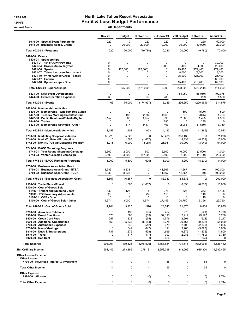#### 11:51 AM **North Lake Tahoe Resort Association** 12/16/21 Profit & Loss Budget Performance Accrual Basis **Accrual Basis** All Departments

|                                                                                                                                                                                                                                                                                            | <b>Nov 21</b>                                                                   | <b>Budget</b>                                                 | \$ Over Bu                                                                           | <b>Jul - Nov 21</b>                                                  | <b>YTD Budget</b>                                                        | \$ Over Bu                                                                                | <b>Annual Bu</b>                                                            |
|--------------------------------------------------------------------------------------------------------------------------------------------------------------------------------------------------------------------------------------------------------------------------------------------|---------------------------------------------------------------------------------|---------------------------------------------------------------|--------------------------------------------------------------------------------------|----------------------------------------------------------------------|--------------------------------------------------------------------------|-------------------------------------------------------------------------------------------|-----------------------------------------------------------------------------|
| 6016-00 · Special Event Partnership<br>6018-00 · Business Assoc. Grants                                                                                                                                                                                                                    | 220<br>0                                                                        | 0<br>20,000                                                   | 220<br>(20,000)                                                                      | 220<br>10,000                                                        | $\mathbf 0$<br>20,000                                                    | 220<br>(10,000)                                                                           | 50,000<br>20,000                                                            |
| Total 6020-00 · Programs                                                                                                                                                                                                                                                                   | 220                                                                             | 20,000                                                        | (19,780)                                                                             | 10,220                                                               | 20,000                                                                   | (9,780)                                                                                   | 70,000                                                                      |
| $6420-00 \cdot$ Events<br>6420-01 · Sponsorships<br>6421-01 · 4th of July Fireworks<br>6421-04 · Broken Arrow Skyrace<br>$6421-06 \cdot$ Spartan<br>6421-07 · Tahoe Lacrosse Tournament<br>6421-10 · WinterWonderGrass - Tahoe<br>$6421-17 \cdot$ Enduro<br>6421-18 · Sponsorships - Other | $\mathbf 0$<br>$\mathbf 0$<br>$\Omega$<br>$\mathbf 0$<br>$\Omega$<br>0<br>0     | 0<br>0<br>175,000<br>0<br>0<br>0<br>0                         | 0<br>0<br>(175,000)<br>0<br>0<br>0<br>0                                              | $\mathbf 0$<br>5,000<br>0<br>0<br>0<br>0<br>$\mathbf 0$              | $\mathbf 0$<br>400<br>179,400<br>8,000<br>25,000<br>0<br>15,400          | $\mathbf 0$<br>4,600<br>(179, 400)<br>(8,000)<br>(25,000)<br>0<br>(15, 400)               | 30,000<br>25,400<br>179,400<br>8,000<br>25,400<br>80,000<br>62,800          |
| Total 6420-01 · Sponsorships                                                                                                                                                                                                                                                               | $\mathbf 0$                                                                     | 175,000                                                       | (175,000)                                                                            | 5,000                                                                | 228,200                                                                  | (223, 200)                                                                                | 411.000                                                                     |
| 6421-00 · New Event Development<br>6424-00 · Event Operation Expenses                                                                                                                                                                                                                      | 0<br>63                                                                         | 0<br>$\mathbf 0$                                              | 0<br>63                                                                              | $\mathbf 0$<br>289                                                   | 68,050<br>0                                                              | (68,050)<br>289                                                                           | 102,075<br>1,500                                                            |
| Total 6420-00 · Events                                                                                                                                                                                                                                                                     | 63                                                                              | 175,000                                                       | (174, 937)                                                                           | 5,289                                                                | 296,250                                                                  | (290, 961)                                                                                | 514,575                                                                     |
| 6423-00 · Membership Activities<br>6436-00 · Membership - Wnt/Sum Rec Lunch<br>6437-00 · Tuesday Morning Breakfast Club<br>6442-00 · Public Relations/Website/Digita<br>$6444-00$ Trades<br>6423-00 · Membership Activities - Other                                                        | 0<br>$\mathbf 0$<br>2,157<br>$\mathbf 0$<br>0                                   | $\mathbf 0$<br>188<br>500<br>0<br>417                         | 0<br>(188)<br>1,657<br>0<br>(417)                                                    | 0<br>(500)<br>3,995<br>295<br>403                                    | 500<br>375<br>2,500<br>0<br>2,083                                        | (500)<br>(875)<br>1,495<br>295<br>(1,680)                                                 | 500<br>1,763<br>4,500<br>0<br>3,750                                         |
| Total 6423-00 · Membership Activities                                                                                                                                                                                                                                                      | 2,157                                                                           | 1,104                                                         | 1,053                                                                                | 4,193                                                                | 5,458                                                                    | (1,265)                                                                                   | 10,513                                                                      |
| 6730-00 · Marketing Cooperative/Media<br>6740-00 · Media/Collateral/Production<br>6742-00 · Non-NLT Co-Op Marketing Program                                                                                                                                                                | 65,226<br>0<br>11,215                                                           | 65,226<br>1,667<br>6,000                                      | $\mathbf 0$<br>(1,667)<br>5,215                                                      | 356,435<br>0<br>26,951                                               | 356,435<br>8,333<br>30,000                                               | $\mathbf 0$<br>(8, 333)<br>(3,049)                                                        | 871,278<br>15,000<br>54,000                                                 |
| 6743-00 · BACC Marketing Programs<br>6743-01 Year Round Shopping Campaign<br>6743-03 · Winter Lakeside Campaign                                                                                                                                                                            | 2,500<br>2,500                                                                  | 2,000<br>3,600                                                | 500<br>(1, 100)                                                                      | 2,500<br>2,500                                                       | 6,000<br>7,200                                                           | (3,500)<br>(4,700)                                                                        | 14,000<br>20,000                                                            |
| Total 6743-00 · BACC Marketing Programs                                                                                                                                                                                                                                                    | 5,000                                                                           | 5,600                                                         | (600)                                                                                | 5,000                                                                | 13,200                                                                   | (8, 200)                                                                                  | 34,000                                                                      |
| 6750-00 · Business Association Grant<br>6750-01 · Business Assn Grant - NTBA<br>6750-02 · Business Assn Grant - TCDA                                                                                                                                                                       | 8,333<br>8,333                                                                  | 8,333<br>8,333                                                | 0<br>0                                                                               | 41,667<br>41,667                                                     | 41,667<br>41,667                                                         | (0)<br>(0)                                                                                | 100,000<br>100,000                                                          |
| Total 6750-00 · Business Association Grant                                                                                                                                                                                                                                                 | 16,667                                                                          | 16,667                                                        | $\mathbf 0$                                                                          | 83,333                                                               | 83,333                                                                   | (0)                                                                                       | 200,000                                                                     |
| 7500-00 · Trade Shows/Travel<br>8100-00 · Cost of Goods Sold<br>51100 · Freight and Shipping Costs                                                                                                                                                                                         | $\mathbf 0$<br>130                                                              | 1,667<br>125                                                  | (1,667)<br>5                                                                         | 0<br>978                                                             | 8,333<br>625                                                             | (8, 333)<br>353                                                                           | 15,000<br>1,125                                                             |
| 59900 · POS Inventory Adjustments<br>8100-01 · CGS - Other<br>8100-00 · Cost of Goods Sold - Other                                                                                                                                                                                         | (3)<br>0<br>4,574                                                               | 0<br>$\Omega$<br>3,000                                        | (3)<br>0<br>1,574                                                                    | 110<br>10<br>27,146                                                  | 0<br>0<br>20,750                                                         | 110<br>10<br>6,396                                                                        | 0<br>$\Omega$<br>29,750                                                     |
| Total 8100-00 · Cost of Goods Sold                                                                                                                                                                                                                                                         | 4,701                                                                           | 3,125                                                         | 1,576                                                                                | 28,243                                                               | 21,375                                                                   | 6,868                                                                                     | 30,875                                                                      |
| 8200-00 · Associate Relations<br>8300-00 · Board Functions<br>8500-00 · Credit Card Fees<br>8600-00 · Additional Opportunites<br>8700-00 · Automobile Expenses<br>8750-00 · Meals/Meetings<br>8810-00 · Dues & Subscriptions<br>8910-00 · Travel<br>8920-00 · Bad Debt                     | $\mathbf 0$<br>570<br>257<br>650<br>0<br>$\mathbf 0$<br>737<br>0<br>$\mathbf 0$ | 195<br>583<br>332<br>5,833<br>542<br>642<br>1,275<br>417<br>0 | (195)<br>(13)<br>(75)<br>(5, 183)<br>(542)<br>(642)<br>(538)<br>(417)<br>$\mathbf 0$ | 454<br>32,113<br>1,576<br>8,275<br>379<br>111<br>4,999<br>303<br>624 | 975<br>2,917<br>2,201<br>29,167<br>2,708<br>3,208<br>6,375<br>2,083<br>0 | (521)<br>29,197<br>(624)<br>(20, 892)<br>(2, 330)<br>(3,098)<br>(1,376)<br>(1,780)<br>624 | 1,770<br>5,250<br>3,247<br>55,000<br>5,025<br>6,088<br>11,500<br>3,750<br>0 |
| <b>Total Expense</b>                                                                                                                                                                                                                                                                       | 203,001                                                                         | 479,526                                                       | (276, 526)                                                                           | 1,158,654                                                            | 1,791,615                                                                | (632, 961)                                                                                | 3,528,482                                                                   |
| <b>Net Ordinary Income</b>                                                                                                                                                                                                                                                                 | 551,445                                                                         | 273,265                                                       | 278,181                                                                              | 2,258,398                                                            | 1,343,099                                                                | 915,300                                                                                   | 4,682,465                                                                   |
| <b>Other Income/Expense</b><br>Other Income                                                                                                                                                                                                                                                |                                                                                 |                                                               |                                                                                      |                                                                      |                                                                          |                                                                                           |                                                                             |
| 4700-00 · Revenues- Interest & Investment                                                                                                                                                                                                                                                  | 11                                                                              | 0                                                             | 11                                                                                   | 55                                                                   | 0                                                                        | 55                                                                                        | 0                                                                           |
| <b>Total Other Income</b>                                                                                                                                                                                                                                                                  | 11                                                                              | 0                                                             | 11                                                                                   | 55                                                                   | $\mathbf 0$                                                              | 55                                                                                        | 0                                                                           |
| <b>Other Expense</b><br>8990-00 · Allocated                                                                                                                                                                                                                                                | 0                                                                               | 0                                                             | (0)                                                                                  | 0                                                                    | 0                                                                        | (0)                                                                                       | 9,744                                                                       |
| <b>Total Other Expense</b>                                                                                                                                                                                                                                                                 | $\mathbf 0$                                                                     | $\mathbf 0$                                                   | (0)                                                                                  | 0                                                                    | $\mathbf 0$                                                              | (0)                                                                                       | 9,744                                                                       |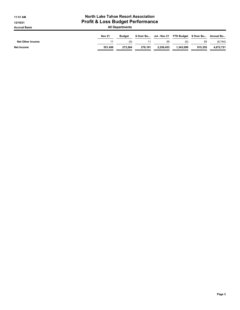| <b>North Lake Tahoe Resort Association</b><br>11:51 AM<br><b>Profit &amp; Loss Budget Performance</b><br>12/16/21<br><b>All Departments</b><br><b>Accrual Basis</b> |                                                                                                |         |         |           |           |         |           |  |
|---------------------------------------------------------------------------------------------------------------------------------------------------------------------|------------------------------------------------------------------------------------------------|---------|---------|-----------|-----------|---------|-----------|--|
|                                                                                                                                                                     | <b>Nov 21</b><br>Jul - Nov 21 YTD Budget \$Over Bu<br>\$ Over Bu<br>Annual Bu<br><b>Budget</b> |         |         |           |           |         |           |  |
| <b>Net Other Income</b>                                                                                                                                             | 11                                                                                             | (0)     | 11      | 55        | (0)       | 55      | (9,744)   |  |
| Net Income                                                                                                                                                          | 551.456                                                                                        | 273.264 | 278.191 | 2.258.453 | 1.343.099 | 915.355 | 4.672.721 |  |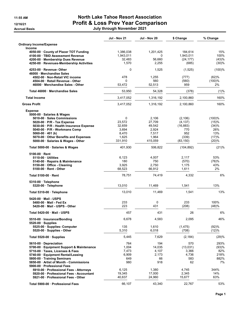**Accrual Basis** 

# 11:55 AM North Lake Tahoe Resort Association 12/16/21 Profit & Loss Prev Year Comparison

| July through November 2021 |  |
|----------------------------|--|
|----------------------------|--|

|                                                  | <b>Jul - Nov 21</b> | <b>Jul - Nov 20</b> | \$ Change  | % Change |
|--------------------------------------------------|---------------------|---------------------|------------|----------|
| <b>Ordinary Income/Expense</b><br><b>Income</b>  |                     |                     |            |          |
| 4050-00 County of Placer TOT Funding             | 1,386,038           | 1,201,425           | 184,614    | 15%      |
| 4100-00 · TBID Assessment Revenue                | 1,943,011           | $\Omega$            | 1.943.011  | 100%     |
| 4200-00 Membership Dues Revenue                  | 32,483              | 56,660              | (24, 177)  | (43)%    |
| 4250-00 · Revenues-Membership Activities         | 1,570               | 2,255               | (685)      | (30)%    |
| 4253-00 Revenue-Other<br>46000 Merchandise Sales | $\mathbf 0$         | 1,525               | (1, 525)   | (100)%   |
| 4502-00 Non-Retail VIC income                    | 478                 | 1,255               | (777)      | (62)%    |
| 4504-00 · Retail Revenue - Other                 | $\Omega$            | 560                 | (560)      | (100)%   |
| 46000 Merchandise Sales - Other                  | 53,472              | 52,513              | 959        | 2%       |
| Total 46000 Merchandise Sales                    | 53,950              | 54,328              | (378)      | (1)%     |
| <b>Total Income</b>                              | 3,417,052           | 1,316,192           | 2,100,860  | 160%     |
| <b>Gross Profit</b>                              | 3,417,052           | 1,316,192           | 2,100,860  | 160%     |
| <b>Expense</b>                                   |                     |                     |            |          |
| 5000-00 · Salaries & Wages                       |                     |                     |            |          |
| 5010-00 Sales Commissions                        | $\Omega$            | 2,106               | (2, 106)   | (100)%   |
| 5020-00 · P/R - Tax Expense                      | 23,572              | 27,709              | (4, 137)   | (15)%    |
| 5030-00 · P/R - Health Insurance Expense         | 32,659              | 49,542              | (16, 883)  | (34)%    |
| 5040-00 · P/R - Workmans Comp                    | 3,694               | 2,924               | 770        | 26%      |
| 5060-00 $\cdot$ 401 (k)                          | 8,470               | 7,517               | 952        | 13%      |
| 5070-00 · Other Benefits and Expenses            | 1,625               | 1,964               | (339)      | (17)%    |
| 5000-00 Salaries & Wages - Other                 | 331,910             | 415,059             | (83, 150)  | (20)%    |
| Total 5000-00 · Salaries & Wages                 | 401,930             | 506,822             | (104, 892) | (21)%    |
| 5100-00 Rent                                     |                     |                     |            |          |
| 5110-00 Utilities                                | 6,123               | 4,007               | 2,117      | 53%      |
| 5140-00 · Repairs & Maintenance                  | 180                 | 750                 | (570)      | (76)%    |
| 5150-00 · Office - Cleaning                      | 3,925               | 2,750               | 1,175      | 43%      |
| 5100-00 · Rent - Other                           | 68,523              | 66,912              | 1,611      | 2%       |
| Total 5100-00 · Rent                             | 78,751              | 74,419              | 4,332      | 6%       |
| 5310-00 · Telephone                              |                     |                     |            |          |
| 5320-00 · Telephone                              | 13,010              | 11,469              | 1,541      | 13%      |
| Total 5310-00 · Telephone                        | 13,010              | 11,469              | 1,541      | 13%      |
| 5420-00 Mail - USPS                              |                     |                     |            |          |
| 5480-00 Mail - Fed Ex                            | 233                 | 0                   | 233        | 100%     |
| 5420-00 Mail - USPS - Other                      | 223                 | 431                 | (208)      | (48)%    |
| Total 5420-00 Mail - USPS                        | 457                 | 431                 | 26         | 6%       |
| 5510-00 · Insurance/Bonding<br>5520-00 Supplies  | 6,678               | 4,583               | 2,095      | 46%      |
| 5525-00 Supplies- Computer                       | 135                 | 1,610               | (1, 475)   | (92)%    |
| 5520-00 · Supplies - Other                       | 5,310               | 6,018               | (708)      | (12)%    |
| Total 5520-00 · Supplies                         | 5,445               | 7,629               | (2, 184)   | (29)%    |
| 5610-00 Depreciation                             | 764                 | 194                 | 570        | 293%     |
| 5700-00 · Equipment Support & Maintenance        | 1,004               | 14,035              | (13,031)   | (93)%    |
| 5710-00 Taxes, Licenses & Fees                   | 7,473               | 4,107               | 3,366      | 82%      |
| 5740-00 · Equipment Rental/Leasing               | 6,909               | 2,173               | 4,736      | 218%     |
| 5800-00 Training Seminars                        | 649                 | 66                  | 583        | 882%     |
| 5850-00 Artist of Month - Commissions            | 980                 | 918                 | 62         | 7%       |
| 5900-00 Professional Fees                        |                     |                     |            |          |
| 5910-00 · Professional Fees - Attorneys          | 6,125               | 1,380               | 4,745      | 344%     |
| 5920-00 Professional Fees - Accountant           | 19,345              | 17,000              | 2,345      | 14%      |
| 5921-00 Professional Fees - Other                |                     |                     |            |          |
|                                                  | 40,637              | 24,960              | 15,677     | 63%      |
| Total 5900-00 · Professional Fees                | 66,107              | 43,340              | 22,767     | 53%      |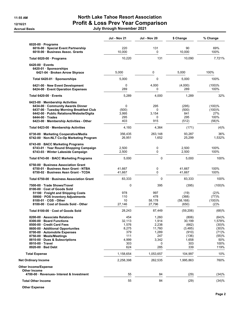**Accrual Basis** 

## 11:55 AM North Lake Tahoe Resort Association 12/16/21 Profit & Loss Prev Year Comparison

|  |  | July through November 2021 |  |
|--|--|----------------------------|--|
|--|--|----------------------------|--|

|                                                                                                                                                                                                                        | <b>Jul - Nov 21</b>               | <b>Jul - Nov 20</b>               | \$ Change                             | % Change                                    |
|------------------------------------------------------------------------------------------------------------------------------------------------------------------------------------------------------------------------|-----------------------------------|-----------------------------------|---------------------------------------|---------------------------------------------|
| 6020-00 Programs<br>6016-00 · Special Event Partnership<br>6018-00 Business Assoc. Grants                                                                                                                              | 220<br>10,000                     | 131<br>0                          | 90<br>10,000                          | 69%<br>100%                                 |
| Total 6020-00 · Programs                                                                                                                                                                                               | 10,220                            | 131                               | 10,090                                | 7,721%                                      |
| 6420-00 Events<br>6420-01 · Sponsorships                                                                                                                                                                               |                                   |                                   |                                       |                                             |
| 6421-04 · Broken Arrow Skyrace                                                                                                                                                                                         | 5,000                             | 0                                 | 5,000                                 | 100%                                        |
| Total 6420-01 Sponsorships                                                                                                                                                                                             | 5,000                             | 0                                 | 5,000                                 | 100%                                        |
| 6421-00 New Event Development<br>6424-00 Event Operation Expenses                                                                                                                                                      | 0<br>289                          | 4,000<br>0                        | (4,000)<br>289                        | (100)%<br>100%                              |
| Total 6420-00 Events                                                                                                                                                                                                   | 5,289                             | 4,000                             | 1,289                                 | 32%                                         |
| 6423-00 Membership Activities<br>6434-00 Community Awards Dinner<br>6437-00 · Tuesday Morning Breakfast Club<br>6442-00 · Public Relations/Website/Digita<br>$6444-00$ Trades<br>6423-00 Membership Activities - Other | 0<br>(500)<br>3,995<br>295<br>403 | 295<br>0<br>3,154<br>0<br>915     | (295)<br>(500)<br>841<br>295<br>(512) | $(100)$ %<br>(100)%<br>27%<br>100%<br>(56)% |
| Total 6423-00 · Membership Activities                                                                                                                                                                                  | 4,193                             | 4,364                             | (171)                                 | (4)%                                        |
| 6730-00 Marketing Cooperative/Media<br>6742-00 · Non-NLT Co-Op Marketing Program                                                                                                                                       | 356,435<br>26,951                 | 263.148<br>1,652                  | 93,287<br>25,299                      | 36%<br>1,532%                               |
| 6743-00 BACC Marketing Programs<br>6743-01 Year Round Shopping Campaign<br>6743-03 · Winter Lakeside Campaign                                                                                                          | 2,500<br>2,500                    | 0<br>0                            | 2,500<br>2,500                        | 100%<br>100%                                |
| Total 6743-00 · BACC Marketing Programs                                                                                                                                                                                | 5,000                             | 0                                 | 5,000                                 | 100%                                        |
| 6750-00 Business Association Grant<br>6750-01 Business Assn Grant - NTBA<br>6750-02 Business Assn Grant - TCDA                                                                                                         | 41,667<br>41,667                  | 0<br>0                            | 41,667<br>41,667                      | 100%<br>100%                                |
| Total 6750-00 Business Association Grant                                                                                                                                                                               | 83,333                            | $\mathbf 0$                       | 83,333                                | 100%                                        |
| 7500-00 · Trade Shows/Travel<br>8100-00 Cost of Goods Sold                                                                                                                                                             | $\mathbf 0$                       | 395                               | (395)                                 | (100)%                                      |
| 51100 · Freight and Shipping Costs<br>59900 · POS Inventory Adjustments<br>8100-01 · CGS - Other<br>8100-00 · Cost of Goods Sold - Other                                                                               | 978<br>110<br>10<br>27,146        | 997<br>478<br>58,178<br>27,796    | (19)<br>(368)<br>(58, 168)<br>(650)   | (2)%<br>(77)%<br>(100)%<br>(2)%             |
| Total 8100-00 · Cost of Goods Sold                                                                                                                                                                                     | 28,243                            | 87,449                            | (59,206)                              | (68)%                                       |
| 8200-00 Associate Relations<br>8300-00 Board Functions<br>8500-00 Credit Card Fees<br>8600-00 Additional Opportunites                                                                                                  | 454<br>32,113<br>1,576<br>8,275   | 1,260<br>1,914<br>2,238<br>11,760 | (806)<br>30,199<br>(662)<br>(3, 485)  | (64)%<br>1,578%<br>(30)%<br>(30)%           |
| 8700-00 Automobile Expenses<br>8750-00 Meals/Meetings<br>8810-00 Dues & Subscriptions<br>8910-00 Travel<br>8920-00 Bad Debt                                                                                            | 379<br>111<br>4,999<br>303<br>624 | 1,289<br>247<br>3,342<br>0<br>285 | (910)<br>(136)<br>1,658<br>303<br>339 | (71)%<br>(55)%<br>50%<br>100%<br>119%       |
|                                                                                                                                                                                                                        | 1,158,654                         | 1,053,657                         | 104,997                               | 10%                                         |
| <b>Total Expense</b><br><b>Net Ordinary Income</b>                                                                                                                                                                     | 2,258,398                         | 262,535                           | 1,995,863                             | 760%                                        |
| <b>Other Income/Expense</b><br><b>Other Income</b>                                                                                                                                                                     |                                   |                                   |                                       |                                             |
| 4700-00 · Revenues- Interest & Investment                                                                                                                                                                              | 55                                | 84                                | (29)                                  | (34)%                                       |
| <b>Total Other Income</b>                                                                                                                                                                                              | 55                                | 84                                | (29)                                  | (34)%                                       |

Other Expense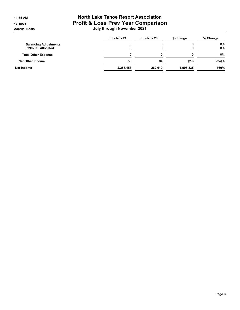## 11:55 AM North Lake Tahoe Resort Association 12/16/21 **Profit & Loss Prev Year Comparison** Accrual Basis July through November 2021

|                                                   | <b>Jul - Nov 21</b> | <b>Jul - Nov 20</b> | \$ Change | % Change       |
|---------------------------------------------------|---------------------|---------------------|-----------|----------------|
| <b>Balancing Adjustments</b><br>8990-00 Allocated |                     | u                   |           | $0\%$<br>$0\%$ |
| <b>Total Other Expense</b>                        |                     |                     |           | $0\%$          |
| <b>Net Other Income</b>                           | 55                  | 84                  | (29)      | (34)%          |
| Net Income                                        | 2,258,453           | 262.619             | 1.995.835 | 760%           |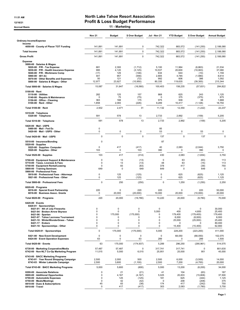#### 11:51 AM **North Lake Tahoe Resort Association** 12/16/21 12/16/21 **Profit & Loss Budget Performance**

Accrual Basis **11 - Marketing** 

|                                                                                                                                                                                                                                                                                      | <b>Nov 21</b>                                       | <b>Budget</b>                                   | \$ Over Budget                                              | Jul - Nov 21                                     | <b>YTD Budget</b>                                     | \$ Over Budget                                                    | <b>Annual Budget</b>                                               |
|--------------------------------------------------------------------------------------------------------------------------------------------------------------------------------------------------------------------------------------------------------------------------------------|-----------------------------------------------------|-------------------------------------------------|-------------------------------------------------------------|--------------------------------------------------|-------------------------------------------------------|-------------------------------------------------------------------|--------------------------------------------------------------------|
| <b>Ordinary Income/Expense</b>                                                                                                                                                                                                                                                       |                                                     |                                                 |                                                             |                                                  |                                                       |                                                                   |                                                                    |
| Income<br>4050-00 County of Placer TOT Funding                                                                                                                                                                                                                                       | 141,891                                             | 141,891                                         | $\mathbf 0$                                                 | 742,322                                          | 883,572                                               | (141, 250)                                                        | 2,188,080                                                          |
| <b>Total Income</b>                                                                                                                                                                                                                                                                  | 141,891                                             | 141,891                                         | $\mathbf 0$                                                 | 742,322                                          | 883,572                                               | (141, 250)                                                        | 2,188,080                                                          |
| <b>Gross Profit</b>                                                                                                                                                                                                                                                                  | 141,891                                             | 141,891                                         | $\mathbf 0$                                                 | 742,322                                          | 883.572                                               | (141, 250)                                                        | 2,188,080                                                          |
| <b>Expense</b>                                                                                                                                                                                                                                                                       |                                                     |                                                 |                                                             |                                                  |                                                       |                                                                   |                                                                    |
| 5000-00 · Salaries & Wages<br>$5020-00 \cdot P/R$ - Tax Expense<br>5030-00 · P/R - Health Insurance Expense<br>5040-00 · P/R - Workmans Comp<br>5060-00 $\cdot$ 401 (k)<br>5070-00 Other Benefits and Expenses<br>5000-00 · Salaries & Wages - Other                                 | 681<br>995<br>(17)<br>401<br>50<br>12,977           | 2,393<br>4,120<br>129<br>957<br>121<br>23,927   | (1,712)<br>(3, 125)<br>(146)<br>(556)<br>(72)<br>(10, 950)  | 5,100<br>10,537<br>634<br>2,805<br>992<br>80,335 | 11,964<br>20,600<br>644<br>4,785<br>606<br>119,635    | (6, 863)<br>(10,063)<br>(10)<br>(1,980)<br>386<br>(39, 300)       | 21,534<br>37,080<br>1,159<br>8,614<br>1,092<br>215,344             |
| Total 5000-00 · Salaries & Wages                                                                                                                                                                                                                                                     | 15,087                                              | 31,647                                          | (16, 560)                                                   | 100,403                                          | 158,235                                               | (57, 831)                                                         | 284,822                                                            |
| $5100-00 \cdot$ Rent<br>$5110-00 \cdot$ Utilities<br>5140-00 · Repairs & Maintenance<br>5150-00 · Office - Cleaning<br>5100-00 · Rent - Other                                                                                                                                        | 282<br>0<br>363<br>1,858                            | 125<br>75<br>188<br>2,083                       | 157<br>(75)<br>175<br>(226)                                 | 868<br>0<br>975<br>9,289                         | 625<br>375<br>938<br>10,417                           | 243<br>(375)<br>38<br>(1, 128)                                    | 1,125<br>675<br>1,688<br>18,750                                    |
| Total 5100-00 · Rent                                                                                                                                                                                                                                                                 | 2,502                                               | 2,471                                           | 31                                                          | 11,132                                           | 12,354                                                | (1, 222)                                                          | 22,237                                                             |
| 5310-00 · Telephone<br>5320-00 · Telephone                                                                                                                                                                                                                                           | 591                                                 | 578                                             | 13                                                          | 2,733                                            | 2,892                                                 | (159)                                                             | 5,205                                                              |
| Total 5310-00 · Telephone                                                                                                                                                                                                                                                            | 591                                                 | 578                                             | 13                                                          | 2,733                                            | 2,892                                                 | (159)                                                             | 5,205                                                              |
| 5420-00 Mail - USPS<br>5480-00 Mail Fed Ex<br>5420-00 Mail USPS - Other                                                                                                                                                                                                              | 0<br>0                                              | 0                                               | 0                                                           | 85<br>53                                         | 0                                                     | 53                                                                | 0                                                                  |
| Total 5420-00 · Mail - USPS                                                                                                                                                                                                                                                          | 0                                                   | 0                                               | 0                                                           | 137                                              | $\Omega$                                              | 137                                                               | $\Omega$                                                           |
| 5510-00 · Insurance/Bonding                                                                                                                                                                                                                                                          | 0                                                   |                                                 |                                                             | 87                                               |                                                       |                                                                   |                                                                    |
| $5520-00 \cdot$ Supplies<br>5525-00 · Supplies- Computer<br>5520-00 · Supplies - Other                                                                                                                                                                                               | 0<br>103                                            | 417<br>0                                        | (417)<br>103                                                | 40<br>390                                        | 2,083<br>$\mathbf 0$                                  | (2,044)<br>390                                                    | 3,750<br>0                                                         |
| Total 5520-00 · Supplies                                                                                                                                                                                                                                                             | 103                                                 | 417                                             | (314)                                                       | 430                                              | 2,083                                                 | (1,654)                                                           | 3,750                                                              |
| 5700-00 · Equipment Support & Maintenance<br>5710-00 · Taxes, Licenses & Fees<br>5740-00 · Equipment Rental/Leasing<br>5800-00 · Training Seminars<br>5900-00 · Professional Fees                                                                                                    | $\mathbf 0$<br>0<br>0<br>649                        | 13<br>13<br>83<br>0                             | (13)<br>(13)<br>(83)<br>649                                 | 0<br>48<br>378<br>649                            | 63<br>63<br>417<br>$\mathbf 0$                        | (63)<br>(15)<br>(39)<br>649                                       | 113<br>113<br>750<br>$\mathbf 0$                                   |
| 5910-00 · Professional Fees - Attorneys<br>5921-00 · Professional Fees - Other                                                                                                                                                                                                       | 0<br>0                                              | 125<br>125                                      | (125)<br>(125)                                              | 0<br>$\mathbf 0$                                 | 625<br>625                                            | (625)<br>(625)                                                    | 1,125<br>1,125                                                     |
| Total 5900-00 · Professional Fees                                                                                                                                                                                                                                                    | 0                                                   | 250                                             | (250)                                                       | 0                                                | 1,250                                                 | (1,250)                                                           | 2,250                                                              |
| $6020-00 \cdot$ Programs<br>6016-00 · Special Event Partnership<br>6018-00 · Business Assoc. Grants                                                                                                                                                                                  | 220<br>0                                            | 0<br>20,000                                     | 220<br>(20,000)                                             | 220<br>10,000                                    | $\mathbf 0$<br>20,000                                 | 220<br>(10,000)                                                   | 50,000<br>20,000                                                   |
| Total 6020-00 · Programs                                                                                                                                                                                                                                                             | 220                                                 | 20,000                                          | (19,780)                                                    | 10,220                                           | 20,000                                                | (9,780)                                                           | 70,000                                                             |
| $6420-00 \cdot$ Events<br>6420-01 · Sponsorships<br>6421-01 · 4th of July Fireworks<br>6421-04 · Broken Arrow Skyrace<br>$6421-06 \cdot$ Spartan<br>6421-07 · Tahoe Lacrosse Tournament<br>6421-10 · WinterWonderGrass - Tahoe<br>6421-17 · Enduro<br>6421-18 · Sponsorships - Other | 0<br>$\mathbf 0$<br>$\mathbf 0$<br>0<br>0<br>0<br>0 | 0<br>0<br>175,000<br>0<br>0<br>$\mathbf 0$<br>0 | 0<br>0<br>(175,000)<br>0<br>0<br>$\mathbf 0$<br>$\mathbf 0$ | 0<br>5,000<br>0<br>0<br>0<br>0<br>0              | 0<br>400<br>179,400<br>8,000<br>25,000<br>0<br>15,400 | 0<br>4,600<br>(179, 400)<br>(8,000)<br>(25,000)<br>0<br>(15, 400) | 30,000<br>25,400<br>179,400<br>8,000<br>25,400<br>80,000<br>62,800 |
| Total 6420-01 · Sponsorships                                                                                                                                                                                                                                                         | 0                                                   | 175,000                                         | (175,000)                                                   | 5,000                                            | 228,200                                               | (223, 200)                                                        | 411,000                                                            |
| 6421-00 · New Event Development<br>6424-00 · Event Operation Expenses                                                                                                                                                                                                                | $\pmb{0}$<br>63                                     | 0<br>0                                          | 0<br>63                                                     | 0<br>289                                         | 68,050<br>0                                           | (68,050)<br>289                                                   | 102,075<br>1,500                                                   |
| Total 6420-00 · Events                                                                                                                                                                                                                                                               | 63                                                  | 175,000                                         | (174, 937)                                                  | 5,289                                            | 296,250                                               | (290, 961)                                                        | 514,575                                                            |
| 6730-00 · Marketing Cooperative/Media<br>6742-00 · Non-NLT Co-Op Marketing Program                                                                                                                                                                                                   | 57,487<br>11,015                                    | 57,487<br>5,000                                 | 0<br>6,015                                                  | 317,741<br>25,951                                | 317,741<br>25,000                                     | 0<br>951                                                          | 801,630<br>45,000                                                  |
| 6743-00 · BACC Marketing Programs<br>6743-01 · Year Round Shopping Campaign<br>6743-03 · Winter Lakeside Campaign                                                                                                                                                                    | 2,500<br>2,500                                      | 2,000<br>3,600                                  | 500<br>(1, 100)                                             | 2,500<br>2,500                                   | 6,000<br>7,200                                        | (3,500)<br>(4,700)                                                | 14,000<br>20,000                                                   |
| Total 6743-00 · BACC Marketing Programs                                                                                                                                                                                                                                              | 5,000                                               | 5,600                                           | (600)                                                       | 5,000                                            | 13,200                                                | (8, 200)                                                          | 34,000                                                             |
| 8200-00 · Associate Relations<br>8600-00 · Additional Opportunites<br>8700-00 · Automobile Expenses<br>8750-00 · Meals/Meetings<br>8810-00 · Dues & Subscriptions<br>8910-00 · Travel                                                                                                | 0<br>0<br>0<br>0<br>45<br>0                         | 21<br>4,167<br>125<br>42<br>83<br>417           | (21)<br>(4, 167)<br>(125)<br>(42)<br>(38)<br>(417)          | 41<br>5,025<br>181<br>0<br>174<br>303            | 104<br>20,833<br>625<br>208<br>417<br>2,083           | (63)<br>(15,808)<br>(444)<br>(208)<br>(242)<br>(1,780)            | 187<br>37,500<br>1,125<br>375<br>750<br>3,750                      |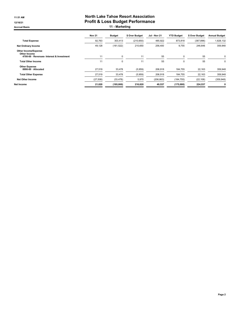#### 11:51 AM **North Lake Tahoe Resort Association** 12/16/21 12/16/21 **Profit & Loss Budget Performance** Accrual Basis **11 - Marketing**

|                                                                                          | <b>Nov 21</b> | <b>Budget</b> | \$ Over Budget | Jul - Nov 21 | <b>YTD Budget</b> | \$ Over Budget | <b>Annual Budget</b> |
|------------------------------------------------------------------------------------------|---------------|---------------|----------------|--------------|-------------------|----------------|----------------------|
| <b>Total Expense</b>                                                                     | 92,763        | 303,413       | (210, 650)     | 485,922      | 873,818           | (387, 896)     | 1,828,132            |
| <b>Net Ordinary Income</b>                                                               | 49,128        | (161, 522)    | 210,650        | 256,400      | 9,755             | 246,646        | 359,948              |
| <b>Other Income/Expense</b><br>Other Income<br>4700-00 · Revenues- Interest & Investment | 11            | 0             | 11             | 55           | $\mathbf 0$       | 55             | 0                    |
| <b>Total Other Income</b>                                                                | 11            | 0             | 11             | 55           | $\mathbf 0$       | 55             | 0                    |
| <b>Other Expense</b><br>8990-00 · Allocated                                              | 27,519        | 33,478        | (5,959)        | 206,918      | 184,755           | 22,163         | 359,948              |
| <b>Total Other Expense</b>                                                               | 27,519        | 33,478        | (5,959)        | 206,918      | 184,755           | 22,163         | 359,948              |
| <b>Net Other Income</b>                                                                  | (27, 508)     | (33, 478)     | 5,970          | (206, 863)   | (184, 755)        | (22, 108)      | (359, 948)           |
| Net Income                                                                               | 21,620        | (195,000)     | 216,620        | 49,537       | (175,000)         | 224,537        | 0                    |
|                                                                                          |               |               |                |              |                   |                |                      |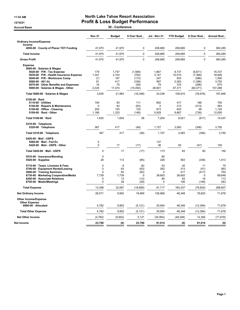### 11:52 AM **North Lake Tahoe Resort Association** 12/16/21 Profit & Loss Budget Performance

Accrual Basis 20 - Conference

|                                                                                                                                                                                                                                                                    | <b>Nov 21</b>                                | <b>Budget</b>                                | \$ Over Bud                                              | <b>Jul - Nov 21</b>                                  | <b>YTD Budget</b>                                | \$ Over Bud                                                   | Annual Bud                                           |
|--------------------------------------------------------------------------------------------------------------------------------------------------------------------------------------------------------------------------------------------------------------------|----------------------------------------------|----------------------------------------------|----------------------------------------------------------|------------------------------------------------------|--------------------------------------------------|---------------------------------------------------------------|------------------------------------------------------|
| <b>Ordinary Income/Expense</b>                                                                                                                                                                                                                                     |                                              |                                              |                                                          |                                                      |                                                  |                                                               |                                                      |
| Income<br>4050-00 · County of Placer TOT Funding                                                                                                                                                                                                                   | 41,970                                       | 41,970                                       | $\mathbf 0$                                              | 208,685                                              | 208,685                                          | 0                                                             | 360,285                                              |
| <b>Total Income</b>                                                                                                                                                                                                                                                | 41,970                                       | 41,970                                       | $\mathbf 0$                                              | 208,685                                              | 208,685                                          | 0                                                             | 360,285                                              |
| <b>Gross Profit</b>                                                                                                                                                                                                                                                | 41,970                                       | 41,970                                       | $\mathbf 0$                                              | 208,685                                              | 208,685                                          | 0                                                             | 360,285                                              |
| <b>Expense</b><br>5000-00 · Salaries & Wages<br>5020-00 · P/R - Tax Expense<br>5030-00 · P/R - Health Insurance Expense<br>5040-00 · P/R - Workmans Comp<br>5060-00 $\cdot$ 401 (k)<br>5070-00 · Other Benefits and Expenses<br>5000-00 · Salaries & Wages - Other | 179<br>1,341<br>(7)<br>81<br>16<br>2,025     | 1.747<br>2,103<br>167<br>417<br>75<br>17,474 | (1, 569)<br>(762)<br>(173)<br>(336)<br>(59)<br>(15, 450) | 1,867<br>3,147<br>247<br>997<br>79<br>26,901         | 8,737<br>10,515<br>833<br>2.083<br>375<br>87,371 | (6, 871)<br>(7,368)<br>(586)<br>(1,086)<br>(296)<br>(60, 471) | 15,727<br>18,926<br>1,500<br>3,750<br>675<br>157,268 |
| Total 5000-00 · Salaries & Wages                                                                                                                                                                                                                                   | 3,635                                        | 21,983                                       | (18, 348)                                                | 33,238                                               | 109,915                                          | (76, 676)                                                     | 197,846                                              |
| $5100-00 \cdot$ Rent<br>5110-00 · Utilities<br>5140-00 · Repairs & Maintenance<br>5150-00 · Office - Cleaning<br>5100-00 · Rent - Other                                                                                                                            | 194<br>$\mathbf 0$<br>250<br>1,186           | 83<br>63<br>125<br>1,333                     | 111<br>(63)<br>125<br>(148)                              | 602<br>$\mathbf 0$<br>673<br>5,929                   | 417<br>313<br>625<br>6,667                       | 186<br>(313)<br>48<br>(738)                                   | 750<br>563<br>1,125<br>12,000                        |
| Total 5100-00 · Rent                                                                                                                                                                                                                                               | 1,630                                        | 1,604                                        | 26                                                       | 7,204                                                | 8,021                                            | (817)                                                         | 14,437                                               |
| 5310-00 · Telephone<br>5320-00 · Telephone                                                                                                                                                                                                                         | 367                                          | 417                                          | (49)                                                     | 1,727                                                | 2,083                                            | (356)                                                         | 3,750                                                |
| Total 5310-00 · Telephone                                                                                                                                                                                                                                          | 367                                          | 417                                          | (49)                                                     | 1,727                                                | 2,083                                            | (356)                                                         | 3,750                                                |
| 5420-00 · Mail - USPS<br>5480-00 Mail - Fed Ex<br>5420-00 · Mail - USPS - Other                                                                                                                                                                                    | $\mathbf 0$<br>$\mathbf 0$                   | 17                                           | (17)                                                     | 137<br>36                                            | 83                                               | (47)                                                          | 150                                                  |
| Total 5420-00 · Mail - USPS                                                                                                                                                                                                                                        | $\mathbf 0$                                  | 17                                           | (17)                                                     | 173                                                  | 83                                               | 90                                                            | 150                                                  |
| 5510-00 · Insurance/Bonding<br>5520-00 · Supplies                                                                                                                                                                                                                  | 0<br>28                                      | 113                                          | (85)                                                     | 60<br>226                                            | 563                                              | (336)                                                         | 1,013                                                |
| 5710-00 · Taxes, Licenses & Fees<br>5740-00 · Equipment Rental/Leasing<br>5800-00 · Training Seminars<br>6730-00 · Marketing Cooperative/Media<br>8200-00 · Associate Relations<br>8750-00 · Meals/Meetings                                                        | 0<br>$\Omega$<br>$\Omega$<br>7,739<br>0<br>0 | 8<br>63<br>83<br>7.739<br>13<br>29           | (8)<br>(63)<br>(83)<br>$\mathbf 0$<br>(13)<br>(29)       | 53<br>262<br>$\Omega$<br>38,693<br>80<br>$\mathbf 0$ | 42<br>313<br>417<br>38.693<br>63<br>146          | 11<br>(51)<br>(417)<br>$\mathbf 0$<br>18<br>(146)             | 75<br>563<br>750<br>69,648<br>113<br>263             |
| <b>Total Expense</b>                                                                                                                                                                                                                                               | 13,398                                       | 32,067                                       | (18,669)                                                 | 81,717                                               | 160,337                                          | (78, 620)                                                     | 288,607                                              |
| <b>Net Ordinary Income</b>                                                                                                                                                                                                                                         | 28,571                                       | 9,902                                        | 18,669                                                   | 126,968                                              | 48.348                                           | 78.620                                                        | 71,678                                               |
| <b>Other Income/Expense</b><br><b>Other Expense</b><br>8990-00 · Allocated                                                                                                                                                                                         | 4,782                                        | 9,902                                        | (5, 121)                                                 | 35,954                                               | 48,348                                           | (12, 394)                                                     | 71,678                                               |
| <b>Total Other Expense</b>                                                                                                                                                                                                                                         | 4,782                                        | 9,902                                        | (5, 121)                                                 | 35,954                                               | 48,348                                           | (12, 394)                                                     | 71,678                                               |
| <b>Net Other Income</b>                                                                                                                                                                                                                                            | (4, 782)                                     | (9,902)                                      | 5,121                                                    | (35, 954)                                            | (48, 348)                                        | 12,394                                                        | (71, 678)                                            |
| Net Income                                                                                                                                                                                                                                                         | 23,790                                       | (0)                                          | 23,790                                                   | 91,014                                               | (0)                                              | 91,014                                                        | (0)                                                  |
|                                                                                                                                                                                                                                                                    |                                              |                                              |                                                          |                                                      |                                                  |                                                               |                                                      |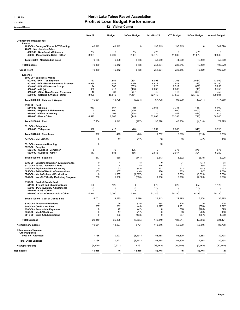### 11:52 AM **North Lake Tahoe Resort Association** 12/16/21 12/16/21 **Profit & Loss Budget Performance**

Accrual Basis 42 - Visitor Center

| <b>Ordinary Income/Expense</b><br>Income<br>40,312<br>40,312<br>0<br>197,315<br>197,315<br>0<br>342,770<br>4050-00 County of Placer TOT Funding<br>46000 · Merchandise Sales<br>204<br>$\Omega$<br>204<br>478<br>478<br>$\mathbf 0$<br>4502-00 · Non-Retail VIC income<br>$\Omega$<br>8,954<br>6,000<br>2,954<br>53,472<br>41,500<br>11,972<br>59,500<br>46000 · Merchandise Sales - Other<br>9,158<br>6,000<br>53,950<br>41,500<br>59,500<br>3,158<br>12,450<br>Total 46000 · Merchandise Sales<br>49,470<br>46,312<br>251,264<br>238,815<br>402,270<br>3,158<br>12,450<br><b>Total Income</b><br>49,470<br>46,312<br>3,158<br>251,264<br>238,815<br>12,450<br>402,270<br><b>Gross Profit</b><br><b>Expense</b><br>5000-00 · Salaries & Wages<br>717<br>1,551<br>(834)<br>5,091<br>13,959<br>5020-00 · P/R - Tax Expense<br>7,755<br>(2,664)<br>6,969<br>1,583<br>6,674<br>7,917<br>5030-00 · P/R - Health Insurance Expense<br>5,386<br>(1, 243)<br>14,250<br>24<br>583<br>2,917<br>5,250<br>(559)<br>1,828<br>(1,089)<br>5040-00 · P/R - Workmans Comp<br>308<br>417<br>(108)<br>2,038<br>2,083<br>3,750<br>5060-00 $\cdot$ 401 (k)<br>(45)<br>83<br>417<br>16<br>(67)<br>49<br>(368)<br>750<br>5070-00 Other Benefits and Expenses<br>8,029<br>15,510<br>5000-00 · Salaries & Wages - Other<br>(7, 481)<br>52,118<br>77,550<br>(25, 433)<br>139,591<br>16,064<br>19,728<br>67,798<br>98,639<br>Total 5000-00 · Salaries & Wages<br>(3,664)<br>(30, 841)<br>177,550<br>$5100-00 \cdot$ Rent<br>1,033<br>667<br>366<br>2,865<br>3,333<br>(468)<br>6,000<br>$5110-00 \cdot$ Utilities<br>500<br>2,500<br>4,500<br>5140-00 · Repairs & Maintenance<br>0<br>(500)<br>0<br>(2,500)<br>208<br>0<br>225<br>1,042<br>1,875<br>5150-00 · Office - Cleaning<br>(208)<br>(817)<br>5100-00 · Rent - Other<br>6,522<br>33,333<br>60,000<br>6,667<br>(145)<br>32,608<br>(726)<br>Total 5100-00 · Rent<br>8,042<br>40,208<br>72,375<br>7,554<br>(487)<br>35,698<br>(4, 510)<br>5310-00 · Telephone<br>392<br>413<br>(20)<br>1,752<br>2,063<br>(310)<br>3,713<br>5320-00 · Telephone<br>392<br>413<br>(20)<br>1,752<br>2,063<br>(310)<br>3,713<br>Total 5310-00 · Telephone<br>83<br>0<br>17<br>(17)<br>36<br>(47)<br>150<br>5420-00 Mail USPS<br>0<br>60<br>5510-00 · Insurance/Bonding<br>$5520-00 \cdot$ Supplies<br>75<br>(75)<br>0<br>375<br>(375)<br>675<br>5525-00 · Supplies- Computer<br>0<br>583<br>5520-00 · Supplies - Other<br>517<br>(66)<br>2,613<br>2,917<br>(304)<br>5,250<br>517<br>658<br>(141)<br>2,613<br>3,292<br>(679)<br>5,925<br>Total 5520-00 · Supplies<br>$\mathbf 0$<br>0<br>21<br>38<br>5700-00 · Equipment Support & Maintenance<br>$\overline{4}$<br>(4)<br>(21)<br>$\mathbf 0$<br>$\overline{4}$<br>(4)<br>376<br>21<br>355<br>38<br>5710-00 · Taxes, Licenses & Fees<br>5740-00 · Equipment Rental/Leasing<br>$\mathbf 0$<br>63<br>262<br>313<br>(51)<br>563<br>(63)<br>153<br>(14)<br>980<br>833<br>1,500<br>5850-00 · Artist of Month - Commissions<br>167<br>147<br>6740-00 · Media/Collateral/Production<br>8,333<br>(8, 333)<br>15,000<br>0<br>1,667<br>(1,667)<br>0<br>200<br>9,000<br>1,000<br>(800)<br>1,000<br>5,000<br>(4,000)<br>6742-00 · Non-NLT Co-Op Marketing Program<br>8100-00 · Cost of Goods Sold<br>130<br>125<br>978<br>625<br>353<br>1,125<br>51100 · Freight and Shipping Costs<br>5<br>$\mathbf 0$<br>(3)<br>110<br>59900 · POS Inventory Adjustments<br>(3)<br>110<br>$\Omega$<br>0<br>$\Omega$<br>8100-01 · CGS - Other<br>$\Omega$<br>O<br>10<br>$\Omega$<br>10<br>0<br>6,396<br>8100-00 · Cost of Goods Sold - Other<br>4,574<br>3,000<br>1,574<br>27,146<br>20,750<br>29,750<br>4,701<br>3,125<br>1,576<br>28,243<br>21,375<br>6,868<br>30,875<br>Total 8100-00 · Cost of Goods Sold<br>$\mathbf 0$<br>25<br>154<br>125<br>29<br>225<br>8200-00 · Associate Relations<br>(25)<br>237<br>282<br>8500-00 Credit Card Fees<br>(45)<br>1,377<br>1,951<br>(574)<br>2,797<br>$\pmb{0}$<br>8700-00 · Automobile Expenses<br>0<br>42<br>208<br>375<br>(42)<br>(208)<br>$\mathbf 0$<br>8750-00 · Meals/Meetings<br>0<br>17<br>(17)<br>150<br>83<br>(83)<br>8810-00 · Dues & Subscriptions<br>0<br>133<br>0<br>667<br>(133)<br>(667)<br>1,200<br>29,819<br>140,349<br>183,214<br>321,471<br><b>Total Expense</b><br>35,385<br>(5, 565)<br>(42, 866)<br>19,651<br>10,927<br>8,724<br>55,600<br>55,316<br>80,798<br><b>Net Ordinary Income</b><br>110,916<br>Other Income/Expense<br><b>Other Expense</b><br>10,927<br>8990-00 · Allocated<br>7,736<br>(3, 191)<br>58,168<br>55,600<br>2,568<br>80,798<br><b>Total Other Expense</b><br>10,927<br>80,798<br>7,736<br>(3, 191)<br>58,168<br>55,600<br>2,568<br><b>Net Other Income</b><br>(7, 736)<br>(10, 927)<br>3,191<br>(58, 168)<br>(55,600)<br>(2, 568)<br>(80, 798)<br>11,915<br>52,748<br>(0)<br>11,915<br>52,748<br>(0)<br>(0) |            | <b>Nov 21</b> | <b>Budget</b> | \$ Over Budget | Jul - Nov 21 | <b>YTD Budget</b> | \$ Over Budget | <b>Annual Budget</b> |
|-------------------------------------------------------------------------------------------------------------------------------------------------------------------------------------------------------------------------------------------------------------------------------------------------------------------------------------------------------------------------------------------------------------------------------------------------------------------------------------------------------------------------------------------------------------------------------------------------------------------------------------------------------------------------------------------------------------------------------------------------------------------------------------------------------------------------------------------------------------------------------------------------------------------------------------------------------------------------------------------------------------------------------------------------------------------------------------------------------------------------------------------------------------------------------------------------------------------------------------------------------------------------------------------------------------------------------------------------------------------------------------------------------------------------------------------------------------------------------------------------------------------------------------------------------------------------------------------------------------------------------------------------------------------------------------------------------------------------------------------------------------------------------------------------------------------------------------------------------------------------------------------------------------------------------------------------------------------------------------------------------------------------------------------------------------------------------------------------------------------------------------------------------------------------------------------------------------------------------------------------------------------------------------------------------------------------------------------------------------------------------------------------------------------------------------------------------------------------------------------------------------------------------------------------------------------------------------------------------------------------------------------------------------------------------------------------------------------------------------------------------------------------------------------------------------------------------------------------------------------------------------------------------------------------------------------------------------------------------------------------------------------------------------------------------------------------------------------------------------------------------------------------------------------------------------------------------------------------------------------------------------------------------------------------------------------------------------------------------------------------------------------------------------------------------------------------------------------------------------------------------------------------------------------------------------------------------------------------------------------------------------------------------------------------------------------------------------------------------------------------------------------------------------------------------------------------------------------------------------------------------------------------------------------------------------------------------------------------------------------------------------------------------------------------------------------------------------------------------------------------------------------------------------------------------------------------------------------------------------------------------------------------------------------------------------------------------------------------------------------------------------------------------------------------------------------------------------------------------------------------------------------------------------------------------------------------------------------------------------------------------------------------------------------------------------------------------------------------------------------------------------------------------------------------------------------------------|------------|---------------|---------------|----------------|--------------|-------------------|----------------|----------------------|
|                                                                                                                                                                                                                                                                                                                                                                                                                                                                                                                                                                                                                                                                                                                                                                                                                                                                                                                                                                                                                                                                                                                                                                                                                                                                                                                                                                                                                                                                                                                                                                                                                                                                                                                                                                                                                                                                                                                                                                                                                                                                                                                                                                                                                                                                                                                                                                                                                                                                                                                                                                                                                                                                                                                                                                                                                                                                                                                                                                                                                                                                                                                                                                                                                                                                                                                                                                                                                                                                                                                                                                                                                                                                                                                                                                                                                                                                                                                                                                                                                                                                                                                                                                                                                                                                                                                                                                                                                                                                                                                                                                                                                                                                                                                                                                                                                               |            |               |               |                |              |                   |                |                      |
|                                                                                                                                                                                                                                                                                                                                                                                                                                                                                                                                                                                                                                                                                                                                                                                                                                                                                                                                                                                                                                                                                                                                                                                                                                                                                                                                                                                                                                                                                                                                                                                                                                                                                                                                                                                                                                                                                                                                                                                                                                                                                                                                                                                                                                                                                                                                                                                                                                                                                                                                                                                                                                                                                                                                                                                                                                                                                                                                                                                                                                                                                                                                                                                                                                                                                                                                                                                                                                                                                                                                                                                                                                                                                                                                                                                                                                                                                                                                                                                                                                                                                                                                                                                                                                                                                                                                                                                                                                                                                                                                                                                                                                                                                                                                                                                                                               |            |               |               |                |              |                   |                |                      |
|                                                                                                                                                                                                                                                                                                                                                                                                                                                                                                                                                                                                                                                                                                                                                                                                                                                                                                                                                                                                                                                                                                                                                                                                                                                                                                                                                                                                                                                                                                                                                                                                                                                                                                                                                                                                                                                                                                                                                                                                                                                                                                                                                                                                                                                                                                                                                                                                                                                                                                                                                                                                                                                                                                                                                                                                                                                                                                                                                                                                                                                                                                                                                                                                                                                                                                                                                                                                                                                                                                                                                                                                                                                                                                                                                                                                                                                                                                                                                                                                                                                                                                                                                                                                                                                                                                                                                                                                                                                                                                                                                                                                                                                                                                                                                                                                                               |            |               |               |                |              |                   |                |                      |
|                                                                                                                                                                                                                                                                                                                                                                                                                                                                                                                                                                                                                                                                                                                                                                                                                                                                                                                                                                                                                                                                                                                                                                                                                                                                                                                                                                                                                                                                                                                                                                                                                                                                                                                                                                                                                                                                                                                                                                                                                                                                                                                                                                                                                                                                                                                                                                                                                                                                                                                                                                                                                                                                                                                                                                                                                                                                                                                                                                                                                                                                                                                                                                                                                                                                                                                                                                                                                                                                                                                                                                                                                                                                                                                                                                                                                                                                                                                                                                                                                                                                                                                                                                                                                                                                                                                                                                                                                                                                                                                                                                                                                                                                                                                                                                                                                               |            |               |               |                |              |                   |                |                      |
|                                                                                                                                                                                                                                                                                                                                                                                                                                                                                                                                                                                                                                                                                                                                                                                                                                                                                                                                                                                                                                                                                                                                                                                                                                                                                                                                                                                                                                                                                                                                                                                                                                                                                                                                                                                                                                                                                                                                                                                                                                                                                                                                                                                                                                                                                                                                                                                                                                                                                                                                                                                                                                                                                                                                                                                                                                                                                                                                                                                                                                                                                                                                                                                                                                                                                                                                                                                                                                                                                                                                                                                                                                                                                                                                                                                                                                                                                                                                                                                                                                                                                                                                                                                                                                                                                                                                                                                                                                                                                                                                                                                                                                                                                                                                                                                                                               |            |               |               |                |              |                   |                |                      |
|                                                                                                                                                                                                                                                                                                                                                                                                                                                                                                                                                                                                                                                                                                                                                                                                                                                                                                                                                                                                                                                                                                                                                                                                                                                                                                                                                                                                                                                                                                                                                                                                                                                                                                                                                                                                                                                                                                                                                                                                                                                                                                                                                                                                                                                                                                                                                                                                                                                                                                                                                                                                                                                                                                                                                                                                                                                                                                                                                                                                                                                                                                                                                                                                                                                                                                                                                                                                                                                                                                                                                                                                                                                                                                                                                                                                                                                                                                                                                                                                                                                                                                                                                                                                                                                                                                                                                                                                                                                                                                                                                                                                                                                                                                                                                                                                                               |            |               |               |                |              |                   |                |                      |
|                                                                                                                                                                                                                                                                                                                                                                                                                                                                                                                                                                                                                                                                                                                                                                                                                                                                                                                                                                                                                                                                                                                                                                                                                                                                                                                                                                                                                                                                                                                                                                                                                                                                                                                                                                                                                                                                                                                                                                                                                                                                                                                                                                                                                                                                                                                                                                                                                                                                                                                                                                                                                                                                                                                                                                                                                                                                                                                                                                                                                                                                                                                                                                                                                                                                                                                                                                                                                                                                                                                                                                                                                                                                                                                                                                                                                                                                                                                                                                                                                                                                                                                                                                                                                                                                                                                                                                                                                                                                                                                                                                                                                                                                                                                                                                                                                               |            |               |               |                |              |                   |                |                      |
|                                                                                                                                                                                                                                                                                                                                                                                                                                                                                                                                                                                                                                                                                                                                                                                                                                                                                                                                                                                                                                                                                                                                                                                                                                                                                                                                                                                                                                                                                                                                                                                                                                                                                                                                                                                                                                                                                                                                                                                                                                                                                                                                                                                                                                                                                                                                                                                                                                                                                                                                                                                                                                                                                                                                                                                                                                                                                                                                                                                                                                                                                                                                                                                                                                                                                                                                                                                                                                                                                                                                                                                                                                                                                                                                                                                                                                                                                                                                                                                                                                                                                                                                                                                                                                                                                                                                                                                                                                                                                                                                                                                                                                                                                                                                                                                                                               |            |               |               |                |              |                   |                |                      |
|                                                                                                                                                                                                                                                                                                                                                                                                                                                                                                                                                                                                                                                                                                                                                                                                                                                                                                                                                                                                                                                                                                                                                                                                                                                                                                                                                                                                                                                                                                                                                                                                                                                                                                                                                                                                                                                                                                                                                                                                                                                                                                                                                                                                                                                                                                                                                                                                                                                                                                                                                                                                                                                                                                                                                                                                                                                                                                                                                                                                                                                                                                                                                                                                                                                                                                                                                                                                                                                                                                                                                                                                                                                                                                                                                                                                                                                                                                                                                                                                                                                                                                                                                                                                                                                                                                                                                                                                                                                                                                                                                                                                                                                                                                                                                                                                                               |            |               |               |                |              |                   |                |                      |
|                                                                                                                                                                                                                                                                                                                                                                                                                                                                                                                                                                                                                                                                                                                                                                                                                                                                                                                                                                                                                                                                                                                                                                                                                                                                                                                                                                                                                                                                                                                                                                                                                                                                                                                                                                                                                                                                                                                                                                                                                                                                                                                                                                                                                                                                                                                                                                                                                                                                                                                                                                                                                                                                                                                                                                                                                                                                                                                                                                                                                                                                                                                                                                                                                                                                                                                                                                                                                                                                                                                                                                                                                                                                                                                                                                                                                                                                                                                                                                                                                                                                                                                                                                                                                                                                                                                                                                                                                                                                                                                                                                                                                                                                                                                                                                                                                               |            |               |               |                |              |                   |                |                      |
|                                                                                                                                                                                                                                                                                                                                                                                                                                                                                                                                                                                                                                                                                                                                                                                                                                                                                                                                                                                                                                                                                                                                                                                                                                                                                                                                                                                                                                                                                                                                                                                                                                                                                                                                                                                                                                                                                                                                                                                                                                                                                                                                                                                                                                                                                                                                                                                                                                                                                                                                                                                                                                                                                                                                                                                                                                                                                                                                                                                                                                                                                                                                                                                                                                                                                                                                                                                                                                                                                                                                                                                                                                                                                                                                                                                                                                                                                                                                                                                                                                                                                                                                                                                                                                                                                                                                                                                                                                                                                                                                                                                                                                                                                                                                                                                                                               |            |               |               |                |              |                   |                |                      |
|                                                                                                                                                                                                                                                                                                                                                                                                                                                                                                                                                                                                                                                                                                                                                                                                                                                                                                                                                                                                                                                                                                                                                                                                                                                                                                                                                                                                                                                                                                                                                                                                                                                                                                                                                                                                                                                                                                                                                                                                                                                                                                                                                                                                                                                                                                                                                                                                                                                                                                                                                                                                                                                                                                                                                                                                                                                                                                                                                                                                                                                                                                                                                                                                                                                                                                                                                                                                                                                                                                                                                                                                                                                                                                                                                                                                                                                                                                                                                                                                                                                                                                                                                                                                                                                                                                                                                                                                                                                                                                                                                                                                                                                                                                                                                                                                                               |            |               |               |                |              |                   |                |                      |
|                                                                                                                                                                                                                                                                                                                                                                                                                                                                                                                                                                                                                                                                                                                                                                                                                                                                                                                                                                                                                                                                                                                                                                                                                                                                                                                                                                                                                                                                                                                                                                                                                                                                                                                                                                                                                                                                                                                                                                                                                                                                                                                                                                                                                                                                                                                                                                                                                                                                                                                                                                                                                                                                                                                                                                                                                                                                                                                                                                                                                                                                                                                                                                                                                                                                                                                                                                                                                                                                                                                                                                                                                                                                                                                                                                                                                                                                                                                                                                                                                                                                                                                                                                                                                                                                                                                                                                                                                                                                                                                                                                                                                                                                                                                                                                                                                               |            |               |               |                |              |                   |                |                      |
|                                                                                                                                                                                                                                                                                                                                                                                                                                                                                                                                                                                                                                                                                                                                                                                                                                                                                                                                                                                                                                                                                                                                                                                                                                                                                                                                                                                                                                                                                                                                                                                                                                                                                                                                                                                                                                                                                                                                                                                                                                                                                                                                                                                                                                                                                                                                                                                                                                                                                                                                                                                                                                                                                                                                                                                                                                                                                                                                                                                                                                                                                                                                                                                                                                                                                                                                                                                                                                                                                                                                                                                                                                                                                                                                                                                                                                                                                                                                                                                                                                                                                                                                                                                                                                                                                                                                                                                                                                                                                                                                                                                                                                                                                                                                                                                                                               |            |               |               |                |              |                   |                |                      |
|                                                                                                                                                                                                                                                                                                                                                                                                                                                                                                                                                                                                                                                                                                                                                                                                                                                                                                                                                                                                                                                                                                                                                                                                                                                                                                                                                                                                                                                                                                                                                                                                                                                                                                                                                                                                                                                                                                                                                                                                                                                                                                                                                                                                                                                                                                                                                                                                                                                                                                                                                                                                                                                                                                                                                                                                                                                                                                                                                                                                                                                                                                                                                                                                                                                                                                                                                                                                                                                                                                                                                                                                                                                                                                                                                                                                                                                                                                                                                                                                                                                                                                                                                                                                                                                                                                                                                                                                                                                                                                                                                                                                                                                                                                                                                                                                                               |            |               |               |                |              |                   |                |                      |
|                                                                                                                                                                                                                                                                                                                                                                                                                                                                                                                                                                                                                                                                                                                                                                                                                                                                                                                                                                                                                                                                                                                                                                                                                                                                                                                                                                                                                                                                                                                                                                                                                                                                                                                                                                                                                                                                                                                                                                                                                                                                                                                                                                                                                                                                                                                                                                                                                                                                                                                                                                                                                                                                                                                                                                                                                                                                                                                                                                                                                                                                                                                                                                                                                                                                                                                                                                                                                                                                                                                                                                                                                                                                                                                                                                                                                                                                                                                                                                                                                                                                                                                                                                                                                                                                                                                                                                                                                                                                                                                                                                                                                                                                                                                                                                                                                               |            |               |               |                |              |                   |                |                      |
|                                                                                                                                                                                                                                                                                                                                                                                                                                                                                                                                                                                                                                                                                                                                                                                                                                                                                                                                                                                                                                                                                                                                                                                                                                                                                                                                                                                                                                                                                                                                                                                                                                                                                                                                                                                                                                                                                                                                                                                                                                                                                                                                                                                                                                                                                                                                                                                                                                                                                                                                                                                                                                                                                                                                                                                                                                                                                                                                                                                                                                                                                                                                                                                                                                                                                                                                                                                                                                                                                                                                                                                                                                                                                                                                                                                                                                                                                                                                                                                                                                                                                                                                                                                                                                                                                                                                                                                                                                                                                                                                                                                                                                                                                                                                                                                                                               |            |               |               |                |              |                   |                |                      |
|                                                                                                                                                                                                                                                                                                                                                                                                                                                                                                                                                                                                                                                                                                                                                                                                                                                                                                                                                                                                                                                                                                                                                                                                                                                                                                                                                                                                                                                                                                                                                                                                                                                                                                                                                                                                                                                                                                                                                                                                                                                                                                                                                                                                                                                                                                                                                                                                                                                                                                                                                                                                                                                                                                                                                                                                                                                                                                                                                                                                                                                                                                                                                                                                                                                                                                                                                                                                                                                                                                                                                                                                                                                                                                                                                                                                                                                                                                                                                                                                                                                                                                                                                                                                                                                                                                                                                                                                                                                                                                                                                                                                                                                                                                                                                                                                                               |            |               |               |                |              |                   |                |                      |
|                                                                                                                                                                                                                                                                                                                                                                                                                                                                                                                                                                                                                                                                                                                                                                                                                                                                                                                                                                                                                                                                                                                                                                                                                                                                                                                                                                                                                                                                                                                                                                                                                                                                                                                                                                                                                                                                                                                                                                                                                                                                                                                                                                                                                                                                                                                                                                                                                                                                                                                                                                                                                                                                                                                                                                                                                                                                                                                                                                                                                                                                                                                                                                                                                                                                                                                                                                                                                                                                                                                                                                                                                                                                                                                                                                                                                                                                                                                                                                                                                                                                                                                                                                                                                                                                                                                                                                                                                                                                                                                                                                                                                                                                                                                                                                                                                               |            |               |               |                |              |                   |                |                      |
|                                                                                                                                                                                                                                                                                                                                                                                                                                                                                                                                                                                                                                                                                                                                                                                                                                                                                                                                                                                                                                                                                                                                                                                                                                                                                                                                                                                                                                                                                                                                                                                                                                                                                                                                                                                                                                                                                                                                                                                                                                                                                                                                                                                                                                                                                                                                                                                                                                                                                                                                                                                                                                                                                                                                                                                                                                                                                                                                                                                                                                                                                                                                                                                                                                                                                                                                                                                                                                                                                                                                                                                                                                                                                                                                                                                                                                                                                                                                                                                                                                                                                                                                                                                                                                                                                                                                                                                                                                                                                                                                                                                                                                                                                                                                                                                                                               |            |               |               |                |              |                   |                |                      |
|                                                                                                                                                                                                                                                                                                                                                                                                                                                                                                                                                                                                                                                                                                                                                                                                                                                                                                                                                                                                                                                                                                                                                                                                                                                                                                                                                                                                                                                                                                                                                                                                                                                                                                                                                                                                                                                                                                                                                                                                                                                                                                                                                                                                                                                                                                                                                                                                                                                                                                                                                                                                                                                                                                                                                                                                                                                                                                                                                                                                                                                                                                                                                                                                                                                                                                                                                                                                                                                                                                                                                                                                                                                                                                                                                                                                                                                                                                                                                                                                                                                                                                                                                                                                                                                                                                                                                                                                                                                                                                                                                                                                                                                                                                                                                                                                                               |            |               |               |                |              |                   |                |                      |
|                                                                                                                                                                                                                                                                                                                                                                                                                                                                                                                                                                                                                                                                                                                                                                                                                                                                                                                                                                                                                                                                                                                                                                                                                                                                                                                                                                                                                                                                                                                                                                                                                                                                                                                                                                                                                                                                                                                                                                                                                                                                                                                                                                                                                                                                                                                                                                                                                                                                                                                                                                                                                                                                                                                                                                                                                                                                                                                                                                                                                                                                                                                                                                                                                                                                                                                                                                                                                                                                                                                                                                                                                                                                                                                                                                                                                                                                                                                                                                                                                                                                                                                                                                                                                                                                                                                                                                                                                                                                                                                                                                                                                                                                                                                                                                                                                               |            |               |               |                |              |                   |                |                      |
|                                                                                                                                                                                                                                                                                                                                                                                                                                                                                                                                                                                                                                                                                                                                                                                                                                                                                                                                                                                                                                                                                                                                                                                                                                                                                                                                                                                                                                                                                                                                                                                                                                                                                                                                                                                                                                                                                                                                                                                                                                                                                                                                                                                                                                                                                                                                                                                                                                                                                                                                                                                                                                                                                                                                                                                                                                                                                                                                                                                                                                                                                                                                                                                                                                                                                                                                                                                                                                                                                                                                                                                                                                                                                                                                                                                                                                                                                                                                                                                                                                                                                                                                                                                                                                                                                                                                                                                                                                                                                                                                                                                                                                                                                                                                                                                                                               |            |               |               |                |              |                   |                |                      |
|                                                                                                                                                                                                                                                                                                                                                                                                                                                                                                                                                                                                                                                                                                                                                                                                                                                                                                                                                                                                                                                                                                                                                                                                                                                                                                                                                                                                                                                                                                                                                                                                                                                                                                                                                                                                                                                                                                                                                                                                                                                                                                                                                                                                                                                                                                                                                                                                                                                                                                                                                                                                                                                                                                                                                                                                                                                                                                                                                                                                                                                                                                                                                                                                                                                                                                                                                                                                                                                                                                                                                                                                                                                                                                                                                                                                                                                                                                                                                                                                                                                                                                                                                                                                                                                                                                                                                                                                                                                                                                                                                                                                                                                                                                                                                                                                                               |            |               |               |                |              |                   |                |                      |
|                                                                                                                                                                                                                                                                                                                                                                                                                                                                                                                                                                                                                                                                                                                                                                                                                                                                                                                                                                                                                                                                                                                                                                                                                                                                                                                                                                                                                                                                                                                                                                                                                                                                                                                                                                                                                                                                                                                                                                                                                                                                                                                                                                                                                                                                                                                                                                                                                                                                                                                                                                                                                                                                                                                                                                                                                                                                                                                                                                                                                                                                                                                                                                                                                                                                                                                                                                                                                                                                                                                                                                                                                                                                                                                                                                                                                                                                                                                                                                                                                                                                                                                                                                                                                                                                                                                                                                                                                                                                                                                                                                                                                                                                                                                                                                                                                               |            |               |               |                |              |                   |                |                      |
|                                                                                                                                                                                                                                                                                                                                                                                                                                                                                                                                                                                                                                                                                                                                                                                                                                                                                                                                                                                                                                                                                                                                                                                                                                                                                                                                                                                                                                                                                                                                                                                                                                                                                                                                                                                                                                                                                                                                                                                                                                                                                                                                                                                                                                                                                                                                                                                                                                                                                                                                                                                                                                                                                                                                                                                                                                                                                                                                                                                                                                                                                                                                                                                                                                                                                                                                                                                                                                                                                                                                                                                                                                                                                                                                                                                                                                                                                                                                                                                                                                                                                                                                                                                                                                                                                                                                                                                                                                                                                                                                                                                                                                                                                                                                                                                                                               | Net Income |               |               |                |              |                   |                |                      |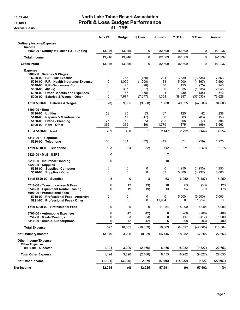Accrual Basis **Accrual Basis 51 - TMPI** 

## 11:52 AM **North Lake Tahoe Resort Association** 12/16/21 Profit & Loss Budget Performance

|                                                                                                                                             | <b>Nov 21</b>        | <b>Budget</b>            | \$ Over                          | <b>Jul - No</b>          | <b>YTD Bu</b>                | \$ Over                             | Annual                       |
|---------------------------------------------------------------------------------------------------------------------------------------------|----------------------|--------------------------|----------------------------------|--------------------------|------------------------------|-------------------------------------|------------------------------|
| <b>Ordinary Income/Expense</b>                                                                                                              |                      |                          |                                  |                          |                              |                                     |                              |
| Income<br>4050-00 County of Placer TOT Funding                                                                                              | 13,946               | 13,946                   | 0                                | 82,809                   | 82,809                       | 0                                   | 141,237                      |
| <b>Total Income</b>                                                                                                                         | 13,946               | 13,946                   | 0                                | 82,809                   | 82,809                       | 0                                   | 141,237                      |
| <b>Gross Profit</b>                                                                                                                         | 13,946               | 13,946                   | $\mathbf 0$                      | 82,809                   | 82,809                       | $\mathbf 0$                         | 141,237                      |
| <b>Expense</b><br>5000-00 · Salaries & Wages<br>5020-00 · P/R - Tax Expense                                                                 | 0                    | 768                      | (768)                            | 201                      | 3,839                        | (3,638)                             | 7,363                        |
| 5030-00 · P/R - Health Insurance Expense<br>5040-00 · P/R - Workmans Comp<br>$5060-00 \cdot 401$ (k)<br>5070-00 Other Benefits and Expenses | 0<br>(3)<br>0<br>0   | 1,000<br>25<br>307<br>88 | (1,000)<br>(28)<br>(307)<br>(88) | 133<br>50<br>0<br>1      | 5,000<br>125<br>1,535<br>439 | (4,867)<br>(75)<br>(1,535)<br>(438) | 9,590<br>240<br>2,945<br>842 |
| 5000-00 · Salaries & Wages - Other                                                                                                          | 0                    | 7,677                    | (7,677)                          | 1,354                    | 38,387                       | (37,033)                            | 73,628                       |
| Total 5000-00 · Salaries & Wages                                                                                                            | (3)                  | 9,865                    | (9,868)                          | 1,738                    | 49,325                       | (47, 586)                           | 94,608                       |
| 5100-00 Rent<br>5110-00 Utilities<br>5140-00 · Repairs & Maintenance<br>5150-00 Office - Cleaning<br>5100-00 · Rent - Other                 | 58<br>0<br>75<br>356 | 25<br>17<br>42<br>375    | 33<br>(17)<br>33<br>(19)         | 167<br>0<br>202<br>1,779 | 125<br>83<br>208<br>1,875    | 42<br>(83)<br>(7)<br>(96)           | 238<br>158<br>396<br>3,563   |
| Total 5100-00 Rent                                                                                                                          | 489                  | 458                      | 31                               | 2,147                    | 2,292                        | (144)                               | 4,354                        |
| 5310-00 · Telephone<br>5320-00 · Telephone                                                                                                  | 103                  | 134                      | (32)                             | 412                      | 671                          | (259)                               | 1,275                        |
| Total 5310-00 · Telephone                                                                                                                   | 103                  | 134                      | (32)                             | 412                      | 671                          | (259)                               | 1,275                        |
| 5420-00 Mail - USPS                                                                                                                         | 0                    |                          |                                  | 2                        |                              |                                     |                              |
| 5510-00 · Insurance/Bonding<br>$5520-00$ · Supplies<br>5525-00 · Supplies- Computer                                                         | 0<br>0               | 0                        | 0                                | 18<br>0                  | 1,250                        | (1,250)                             | 1,250                        |
| 5520-00 · Supplies - Other                                                                                                                  | 8                    | 0                        | 8                                | 63                       | 5,000                        | (4,937)                             | 5,000                        |
| Total 5520-00 · Supplies                                                                                                                    | 8                    | $\mathbf 0$              | 8                                | 63                       | 6,250                        | (6, 187)                            | 6,250                        |
| 5710-00 Taxes, Licenses & Fees<br>5740-00 · Equipment Rental/Leasing<br>5900-00 Professional Fees                                           | 0<br>0               | 13<br>19                 | (13)<br>(19)                     | 10<br>313                | 63<br>94                     | (53)<br>219                         | 120<br>178                   |
| 5910-00 · Professional Fees - Attorneys<br>5921-00 Professional Fees - Other                                                                | 0<br>0               | 0<br>0                   | 0<br>0                           | 0<br>11,954              | 5,000<br>0                   | (5,000)<br>11,954                   | 5,000<br>0                   |
| Total 5900-00 Professional Fees                                                                                                             | 0                    | $\mathbf 0$              | $\mathbf 0$                      | 11,954                   | 5,000                        | 6.954                               | 5,000                        |
| 8700-00 Automobile Expenses<br>8750-00 Meals/Meetings<br>8810-00 Dues & Subscriptions                                                       | 0<br>0<br>0          | 42<br>83<br>42           | (42)<br>(83)<br>(42)             | 0<br>0<br>5              | 208<br>417<br>208            | (208)<br>(417)<br>(203)             | 400<br>1,000<br>400          |
| <b>Total Expense</b>                                                                                                                        | 597                  | 10,655                   | (10, 059)                        | 16,663                   | 64,527                       | (47,865)                            | 113,584                      |
| <b>Net Ordinary Income</b>                                                                                                                  | 13,349               | 3,290                    | 10,059                           | 66,146                   | 18,282                       | 47,865                              | 27,653                       |
| <b>Other Income/Expense</b><br><b>Other Expense</b><br>8990-00 Allocated                                                                    | 1,124                | 3,290                    | (2, 166)                         | 8,455                    | 18,282                       | (9,827)                             | 27,653                       |
| <b>Total Other Expense</b>                                                                                                                  | 1,124                | 3,290                    | (2, 166)                         | 8,455                    | 18,282                       | (9,827)                             | 27,653                       |
| <b>Net Other Income</b>                                                                                                                     | (1, 124)             | (3, 290)                 | 2,166                            | (8, 455)                 | (18, 282)                    | 9,827                               | (27, 653)                    |
| Net Income                                                                                                                                  | 12,225               | (0)                      | 12,225                           | 57,691                   | (0)                          | 57,692                              | (0)                          |
|                                                                                                                                             |                      |                          |                                  |                          |                              |                                     |                              |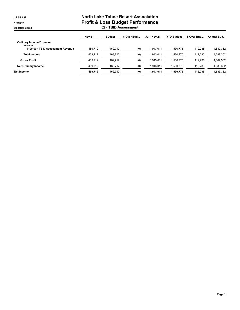## 11:53 AM **North Lake Tahoe Resort Association** 12/16/21 Profit & Loss Budget Performance Accrual Basis 52 - TBID Assessment

|                                             | <b>Nov 21</b> | <b>Budget</b> | \$ Over Bud | <b>Jul - Nov 21</b> | <b>YTD Budget</b> | \$ Over Bud | Annual Bud |
|---------------------------------------------|---------------|---------------|-------------|---------------------|-------------------|-------------|------------|
| <b>Ordinary Income/Expense</b>              |               |               |             |                     |                   |             |            |
| Income<br>4100-00 · TBID Assessment Revenue | 469.712       | 469.712       | (0)         | 1.943.011           | 1.530.775         | 412.235     | 4,689,362  |
| <b>Total Income</b>                         | 469.712       | 469.712       | (0)         | 1.943.011           | 1.530.775         | 412.235     | 4,689,362  |
| <b>Gross Profit</b>                         | 469.712       | 469.712       | (0)         | 1.943.011           | 1.530.775         | 412.235     | 4,689,362  |
| <b>Net Ordinary Income</b>                  | 469.712       | 469.712       | (0)         | 1.943.011           | 1.530.775         | 412.235     | 4,689,362  |
| Net Income                                  | 469.712       | 469.712       | (0)         | 1.943.011           | 1.530.775         | 412.235     | 4.689.362  |
|                                             |               |               |             |                     |                   |             |            |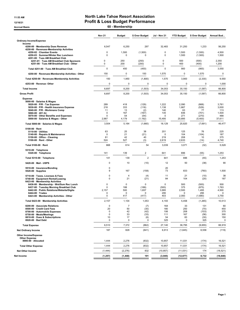#### 11:53 AM **North Lake Tahoe Resort Association** 12/16/21 12/16/21 **Profit & Loss Budget Performance**

Accrual Basis **60 - Membership** 

|                                                                                                                                                                                  | <b>Nov 21</b>                            | <b>Budget</b>                               | \$ Over Budget                                    | Jul - Nov 21                          | <b>YTD Budget</b>                   | \$ Over Budget                              | Annual Bud                          |
|----------------------------------------------------------------------------------------------------------------------------------------------------------------------------------|------------------------------------------|---------------------------------------------|---------------------------------------------------|---------------------------------------|-------------------------------------|---------------------------------------------|-------------------------------------|
| <b>Ordinary Income/Expense</b>                                                                                                                                                   |                                          |                                             |                                                   |                                       |                                     |                                             |                                     |
| Income<br>4200-00 · Membership Dues Revenue<br>4250-00 · Revenues-Membership Activities                                                                                          | 6,547                                    | 6,250                                       | 297                                               | 32,483                                | 31,250                              | 1,233                                       | 56,250                              |
| 4250-02 · Chamber Events<br>4250-03 · Summer/Winter Rec Luncheon<br>4251-00 · Tues AM Breakfast Club                                                                             | 0<br>$\mathbf 0$                         | 1,500<br>0                                  | (1,500)<br>$\mathbf 0$                            | 0<br>0                                | 1,500<br>1,500                      | (1,500)<br>(1,500)                          | 4,500<br>1,500                      |
| 4251-01 · Tues AM Breakfast Club Sponsors<br>4251-00 · Tues AM Breakfast Club - Other                                                                                            | 0<br>0                                   | 250<br>200                                  | (250)<br>(200)                                    | 0<br>0                                | 500<br>400                          | (500)<br>(400)                              | 2,350<br>1,200                      |
| Total 4251-00 · Tues AM Breakfast Club                                                                                                                                           | $\mathbf 0$                              | 450                                         | (450)                                             | $\pmb{0}$                             | 900                                 | (900)                                       | 3,550                               |
| 4250-00 · Revenues-Membership Activities - Other                                                                                                                                 | 150                                      | 0                                           | 150                                               | 1,570                                 | 0                                   | 1,570                                       | $\mathbf 0$                         |
| Total 4250-00 · Revenues-Membership Activities                                                                                                                                   | 150                                      | 1,950                                       | (1,800)                                           | 1,570                                 | 3,900                               | (2, 330)                                    | 9,550                               |
| 4253-00 · Revenue- Other                                                                                                                                                         | 0                                        | 0                                           | 0                                                 | 0                                     | 0                                   | 0                                           | 1,000                               |
| <b>Total Income</b>                                                                                                                                                              | 6,697                                    | 8,200                                       | (1,503)                                           | 34,053                                | 35,150                              | (1,097)                                     | 66,800                              |
| <b>Gross Profit</b>                                                                                                                                                              | 6,697                                    | 8,200                                       | (1,503)                                           | 34,053                                | 35,150                              | (1,097)                                     | 66,800                              |
| <b>Expense</b><br>5000-00 · Salaries & Wages<br>5020-00 · P/R - Tax Expense<br>5030-00 · P/R - Health Insurance Expense<br>5040 00 · P/R - Workmans Comp                         | 289<br>218<br>11                         | 418<br>333<br>13                            | (129)<br>(116)<br>(2)                             | 1,222<br>1,138<br>140                 | 2,090<br>1,667<br>63                | (868)<br>(529)<br>77                        | 3,761<br>3,000<br>113               |
| 5060-00 $\cdot$ 401 (k)<br>5070-00 Other Benefits and Expenses<br>5000-00 · Salaries & Wages - Other                                                                             | $\mathbf 0$<br>$\mathbf 0$<br>2,987      | 167<br>54<br>4,179                          | (167)<br>(54)<br>(1, 192)                         | 135<br>$\mathbf 0$<br>15,495          | 836<br>271<br>20,895                | (701)<br>(270)<br>(5,400)                   | 1,504<br>488<br>37,611              |
| Total 5000-00 · Salaries & Wages                                                                                                                                                 | 3,504                                    | 5,164                                       | (1,660)                                           | 18,129                                | 25,820                              | (7,691)                                     | 46,477                              |
| $5100-00 \cdot$ Rent<br>$5110-00 \cdot$ Utilities<br>5140-00 · Repairs & Maintenance<br>5150-00 Office - Cleaning<br>$5100-00 \cdot$ Rent - Other<br>Total 5100-00 · Rent        | 63<br>$\mathbf 0$<br>81<br>524<br>668    | 25<br>21<br>42<br>527<br>614                | 38<br>(21)<br>40<br>(3)<br>54                     | 201<br>0<br>219<br>2,619<br>3,039     | 125<br>104<br>208<br>2,633<br>3,071 | 76<br>(104)<br>10<br>(14)<br>(32)           | 225<br>187<br>375<br>4,740<br>5,528 |
| 5310-00 · Telephone                                                                                                                                                              |                                          |                                             |                                                   |                                       |                                     |                                             |                                     |
| 5320-00 · Telephone                                                                                                                                                              | 141                                      | 139                                         | $\overline{c}$                                    | 641                                   | 696                                 | (55)                                        | 1,253                               |
| Total 5310-00 · Telephone                                                                                                                                                        | 141                                      | 139                                         | $\overline{2}$                                    | 641                                   | 696                                 | (55)                                        | 1,253                               |
| 5420-00 Mail - USPS                                                                                                                                                              | 0                                        | 10                                          | (10)                                              | 12                                    | 50                                  | (38)                                        | 90                                  |
| 5510-00 · Insurance/Bonding<br>5520-00 · Supplies                                                                                                                                | 0<br>9                                   | 167                                         | (158)                                             | 20<br>73                              | 833                                 | (760)                                       | 1,500                               |
| 5710-00 · Taxes, Licenses & Fees<br>5740-00 · Equipment Rental/Leasing<br>6423-00 · Membership Activities<br>6436-00 · Membership - Wnt/Sum Rec Lunch                            | 0<br>$\mathbf 0$<br>$\mathbf 0$          | $\overline{4}$<br>21<br>0                   | (4)<br>(21)<br>$\mathbf 0$                        | 11<br>84<br>0                         | 21<br>104<br>500                    | (10)<br>(20)<br>(500)                       | 38<br>187<br>500                    |
| 6437-00 · Tuesday Morning Breakfast Club<br>6442-00 · Public Relations/Website/Digita<br>6444-00 · Trades<br>6423-00 · Membership Activities - Other                             | $\mathbf 0$<br>2,157<br>0<br>$\mathbf 0$ | 188<br>500<br>0<br>417                      | (188)<br>1,657<br>$\Omega$<br>(417)               | (500)<br>3,995<br>295<br>403          | 375<br>2,500<br>0<br>2,083          | (875)<br>1,495<br>295<br>(1,680)            | 1,763<br>4,500<br>0<br>3,750        |
| Total 6423-00 · Membership Activities                                                                                                                                            | 2,157                                    | 1,104                                       | 1,053                                             | 4,193                                 | 5,458                               | (1,265)                                     | 10,513                              |
| 8200-00 · Associate Relations<br>8500-00 · Credit Card Fees<br>8700-00 · Automobile Expenses<br>8750-00 · Meals/Meetings<br>8810-00 · Dues & Subscriptions<br>8920-00 · Bad Debt | 0<br>20<br>$\mathbf 0$<br>0<br>10<br>0   | $\overline{7}$<br>50<br>42<br>33<br>17<br>0 | (7)<br>(30)<br>(42)<br>(33)<br>(6)<br>$\mathbf 0$ | 164<br>180<br>106<br>111<br>54<br>325 | 33<br>250<br>208<br>167<br>83<br>0  | 131<br>(70)<br>(103)<br>(56)<br>(30)<br>325 | 60<br>450<br>375<br>300<br>150<br>0 |
| <b>Total Expense</b>                                                                                                                                                             | 6,510                                    | 7,372                                       | (862)                                             | 27,140                                | 36,795                              | (9,655)                                     | 66,919                              |
| <b>Net Ordinary Income</b>                                                                                                                                                       | 187                                      | 828                                         | (641)                                             | 6,913                                 | (1,645)                             | 8,558                                       | (119)                               |
| Other Income/Expense<br><b>Other Expense</b><br>8990-00 · Allocated                                                                                                              | 1,444                                    | 2,276                                       | (832)                                             | 10,857                                | 11,031                              | (174)                                       | 16,521                              |
| <b>Total Other Expense</b>                                                                                                                                                       | 1,444                                    | 2,276                                       | (832)                                             | 10,857                                | 11,031                              | (174)                                       | 16,521                              |
| <b>Net Other Income</b>                                                                                                                                                          | (1, 444)                                 | (2, 276)                                    | 832                                               | (10, 857)                             | (11, 031)                           | 174                                         | (16, 521)                           |
| Net Income                                                                                                                                                                       | (1, 257)                                 | (1, 448)                                    | 191                                               | (3, 945)                              | (12, 677)                           | 8,732                                       | (16, 640)                           |
|                                                                                                                                                                                  |                                          |                                             |                                                   |                                       |                                     |                                             |                                     |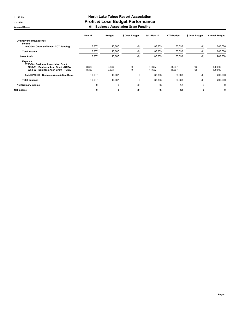## 11:53 AM **North Lake Tahoe Resort Association** 12/16/21 12/16/21 **Profit & Loss Budget Performance**

Accrual Basis 61 - Business Association Grant Funding

|                                                                                                                                        | <b>Nov 21</b>  | <b>Budget</b>  | \$ Over Budget | <b>Jul - Nov 21</b> | <b>YTD Budget</b> | \$ Over Budget | <b>Annual Budget</b> |
|----------------------------------------------------------------------------------------------------------------------------------------|----------------|----------------|----------------|---------------------|-------------------|----------------|----------------------|
| <b>Ordinary Income/Expense</b><br>Income                                                                                               |                |                |                |                     |                   |                |                      |
| 4050-00 County of Placer TOT Funding                                                                                                   | 16,667         | 16,667         | (0)            | 83,333              | 83,333            | (0)            | 200,000              |
| <b>Total Income</b>                                                                                                                    | 16,667         | 16,667         | (0)            | 83,333              | 83,333            | (0)            | 200,000              |
| <b>Gross Profit</b>                                                                                                                    | 16.667         | 16,667         | (0)            | 83,333              | 83,333            | (0)            | 200,000              |
| <b>Expense</b><br>6750-00 · Business Association Grant<br>6750-01 · Business Assn Grant - NTBA<br>6750-02 · Business Assn Grant - TCDA | 8.333<br>8,333 | 8.333<br>8,333 | $\Omega$       | 41.667<br>41,667    | 41.667<br>41,667  | (0)<br>(0)     | 100,000<br>100,000   |
| Total 6750-00 · Business Association Grant                                                                                             | 16,667         | 16,667         | 0              | 83,333              | 83,333            | (0)            | 200,000              |
| <b>Total Expense</b>                                                                                                                   | 16,667         | 16,667         | 0              | 83,333              | 83,333            | (0)            | 200,000              |
| <b>Net Ordinary Income</b>                                                                                                             | $\Omega$       | 0              | (0)            | (0)                 | (0)               | 0              | $\Omega$             |
| Net Income                                                                                                                             | O              | O              | (0)            | (0)                 | (0)               | n              | 0                    |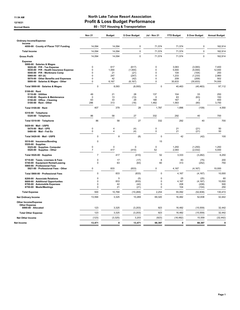## 11:54 AM **North Lake Tahoe Resort Association** 12/16/21 12/16/21 **Profit & Loss Budget Performance**

Accrual Basis **Accrual Basis Accrual Basis Accrual Basis Accrual Basis Accrual Basis Accrual Basis Accrual Basis** 

|                                                                             | <b>Nov 21</b>       | <b>Budget</b>       | \$ Over Budget       | Jul - Nov 21           | <b>YTD Budget</b> | \$ Over Budget      | <b>Annual Budget</b> |
|-----------------------------------------------------------------------------|---------------------|---------------------|----------------------|------------------------|-------------------|---------------------|----------------------|
| <b>Ordinary Income/Expense</b>                                              |                     |                     |                      |                        |                   |                     |                      |
| Income<br>4050-00 County of Placer TOT Funding                              | 14,094              | 14,094              | 0                    | 71,574                 | 71,574            | 0                   | 162,914              |
| <b>Total Income</b>                                                         | 14,094              | 14,094              | $\mathbf 0$          | 71,574                 | 71,574            | $\pmb{0}$           | 162,914              |
| <b>Gross Profit</b>                                                         | 14,094              | 14,094              | $\mathbf 0$          | 71,574                 | 71,574            | $\mathbf 0$         | 162,914              |
| <b>Expense</b><br>5000-00 · Salaries & Wages<br>5020-00 · P/R - Tax Expense | 0                   | 617                 | (617)                | 0                      | 3.083             | (3,083)             | 7.400                |
| 5030-00 · P/R - Health Insurance Expense                                    | 0                   | 1,000               | (1,000)              | $\mathbf 0$            | 5,000             | (5,000)             | 12,000               |
| 5040-00 · P/R - Workmans Comp<br>5060-00 $\cdot$ 401 (k)                    | 0<br>0              | 21<br>247           | (21)<br>(247)        | 0<br>0                 | 104<br>1,233      | (104)<br>(1, 233)   | 250<br>2,960         |
| 5070-00 · Other Benefits and Expenses                                       | 0                   | 42                  | (42)                 | 0                      | 209               | (209)               | 502                  |
| 5000-00 · Salaries & Wages - Other                                          | 0                   | 6,167               | (6, 167)             | $\mathbf 0$            | 30,833            | (30, 833)           | 74,000               |
| Total 5000-00 · Salaries & Wages                                            | 0                   | 8,093               | (8,093)              | $\mathbf 0$            | 40,463            | (40, 463)           | 97,112               |
| $5100-00 \cdot$ Rent                                                        |                     |                     |                      |                        |                   |                     |                      |
| 5110-00 · Utilities<br>5140-00 · Repairs & Maintenance                      | 49<br>$\mathbf 0$   | 21<br>13            | 28<br>(13)           | 137<br>$\mathbf 0$     | 104<br>63         | 33<br>(63)          | 250<br>150           |
| 5150-00 Office - Cleaning                                                   | 63                  | 33                  | 29                   | 168                    | 167               | $\overline{2}$      | 400                  |
| 5100-00 · Rent - Other                                                      | 296                 | 313                 | (16)                 | 1,482                  | 1,563             | (80)                | 3,750                |
| Total 5100-00 · Rent                                                        | 407                 | 379                 | 28                   | 1,787                  | 1,896             | (109)               | 4,550                |
| 5310-00 · Telephone<br>5320-00 · Telephone                                  | 86                  | 58                  | 27                   | 332                    | 292               | 40                  | 700                  |
| Total 5310-00 · Telephone                                                   | 86                  | 58                  | 27                   | 332                    | 292               | 40                  | 700                  |
| 5420-00 · Mail - USPS<br>5470-00 · Mail - UPS<br>5480-00 · Mail - Fed Ex    | $\pmb{0}$<br>0      | 4<br>$\overline{4}$ | (4)<br>(4)           | $\pmb{0}$<br>$\pmb{0}$ | 21<br>21          | (21)<br>(21)        | 50<br>50             |
| Total 5420-00 · Mail - USPS                                                 | 0                   | 8                   | (8)                  | $\mathbf 0$            | 42                | (42)                | 100                  |
| 5510-00 · Insurance/Bonding<br>$5520-00 \cdot$ Supplies                     | 0                   |                     |                      | 15                     |                   |                     |                      |
| 5525-00 · Supplies- Computer<br>5520-00 · Supplies - Other                  | 0<br>$\overline{7}$ | $\pmb{0}$<br>417    | $\mathbf 0$<br>(410) | $\mathbf 0$<br>52      | 1,250<br>2,083    | (1, 250)<br>(2,032) | 1,250<br>5,000       |
| Total 5520-00 · Supplies                                                    | $\overline{7}$      | 417                 | (410)                | 52                     | 3,333             | (3, 282)            | 6,250                |
| 5710-00 · Taxes, Licenses & Fees<br>5740-00 · Equipment Rental/Leasing      | 0<br>$\mathbf 0$    | 17<br>63            | (17)<br>(63)         | 8<br>60                | 83<br>313         | (75)<br>(252)       | 200<br>750           |
| 5900-00 · Professional Fees<br>5921-00 · Professional Fees - Other          | $\pmb{0}$           | 833                 | (833)                | $\pmb{0}$              | 4,167             | (4, 167)            | 10,000               |
| Total 5900-00 · Professional Fees                                           | 0                   | 833                 | (833)                | $\Omega$               | 4,167             | (4, 167)            | 10,000               |
| 8200-00 · Associate Relations                                               | 0                   | 5                   | (5)                  | 0                      | 25                | (25)                | 60                   |
| 8600-00 · Additional Opportunites<br>8700-00 · Automobile Expenses          | $\mathbf 0$<br>0    | 833<br>42           | (833)<br>(42)        | $\mathbf 0$<br>0       | 4,167<br>208      | (4, 167)<br>(208)   | 10,000<br>500        |
| 8750-00 · Meals/Meetings                                                    | 0                   | 21                  | (21)                 | $\mathbf 0$            | 104               | (104)               | 250                  |
| <b>Total Expense</b>                                                        | 500                 | 10,768              | (10, 269)            | 2,254                  | 55,092            | (52, 838)           | 130,472              |
| <b>Net Ordinary Income</b>                                                  | 13,594              | 3,325               | 10,269               | 69,320                 | 16,482            | 52,838              | 32,442               |
| Other Income/Expense<br><b>Other Expense</b>                                |                     |                     |                      |                        |                   |                     |                      |
| 8990-00 · Allocated                                                         | 123                 | 3,325               | (3, 203)             | 923                    | 16,482            | (15, 559)           | 32,442               |
| <b>Total Other Expense</b>                                                  | 123                 | 3,325               | (3, 203)             | 923                    | 16,482            | (15, 559)           | 32,442               |
| <b>Net Other Income</b>                                                     | (123)               | (3, 325)            | 3,203                | (923)                  | (16, 482)         | 15,559              | (32, 442)            |
| Net Income                                                                  | 13,471              | 0                   | 13,471               | 68,397                 | 0                 | 68,397              | $\mathbf 0$          |